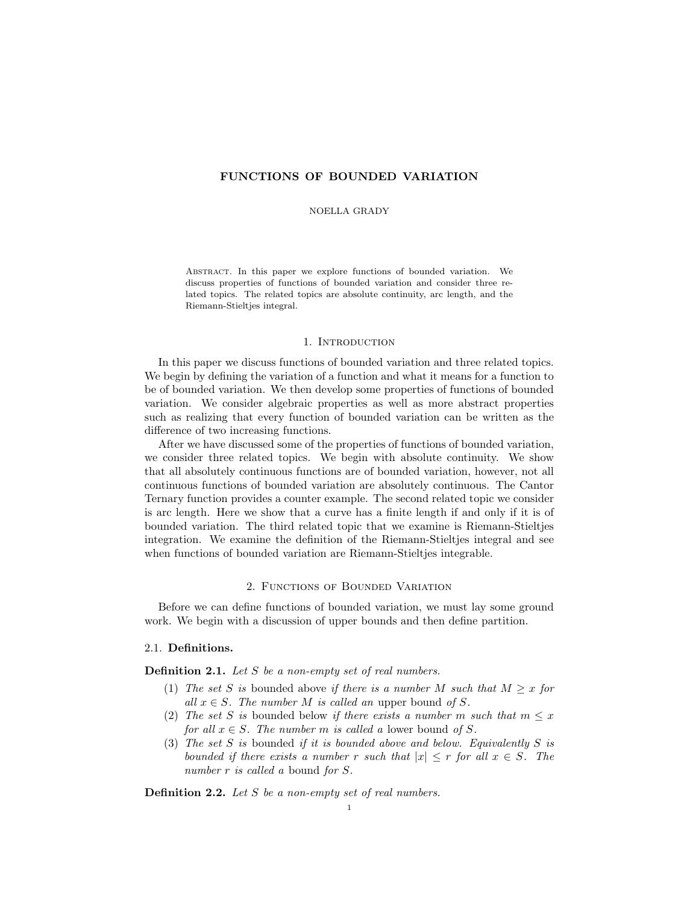# FUNCTIONS OF BOUNDED VARIATION

### NOELLA GRADY

Abstract. In this paper we explore functions of bounded variation. We discuss properties of functions of bounded variation and consider three related topics. The related topics are absolute continuity, arc length, and the Riemann-Stieltjes integral.

#### 1. Introduction

In this paper we discuss functions of bounded variation and three related topics. We begin by defining the variation of a function and what it means for a function to be of bounded variation. We then develop some properties of functions of bounded variation. We consider algebraic properties as well as more abstract properties such as realizing that every function of bounded variation can be written as the difference of two increasing functions.

After we have discussed some of the properties of functions of bounded variation, we consider three related topics. We begin with absolute continuity. We show that all absolutely continuous functions are of bounded variation, however, not all continuous functions of bounded variation are absolutely continuous. The Cantor Ternary function provides a counter example. The second related topic we consider is arc length. Here we show that a curve has a finite length if and only if it is of bounded variation. The third related topic that we examine is Riemann-Stieltjes integration. We examine the definition of the Riemann-Stieltjes integral and see when functions of bounded variation are Riemann-Stieltjes integrable.

### 2. Functions of Bounded Variation

Before we can define functions of bounded variation, we must lay some ground work. We begin with a discussion of upper bounds and then define partition.

## 2.1. Definitions.

Definition 2.1. Let S be a non-empty set of real numbers.

- (1) The set S is bounded above if there is a number M such that  $M \geq x$  for all  $x \in S$ . The number M is called an upper bound of S.
- (2) The set S is bounded below if there exists a number m such that  $m \leq x$ for all  $x \in S$ . The number m is called a lower bound of S.
- (3) The set S is bounded if it is bounded above and below. Equivalently S is bounded if there exists a number r such that  $|x| \le r$  for all  $x \in S$ . The number r is called a bound for S.

Definition 2.2. Let S be a non-empty set of real numbers.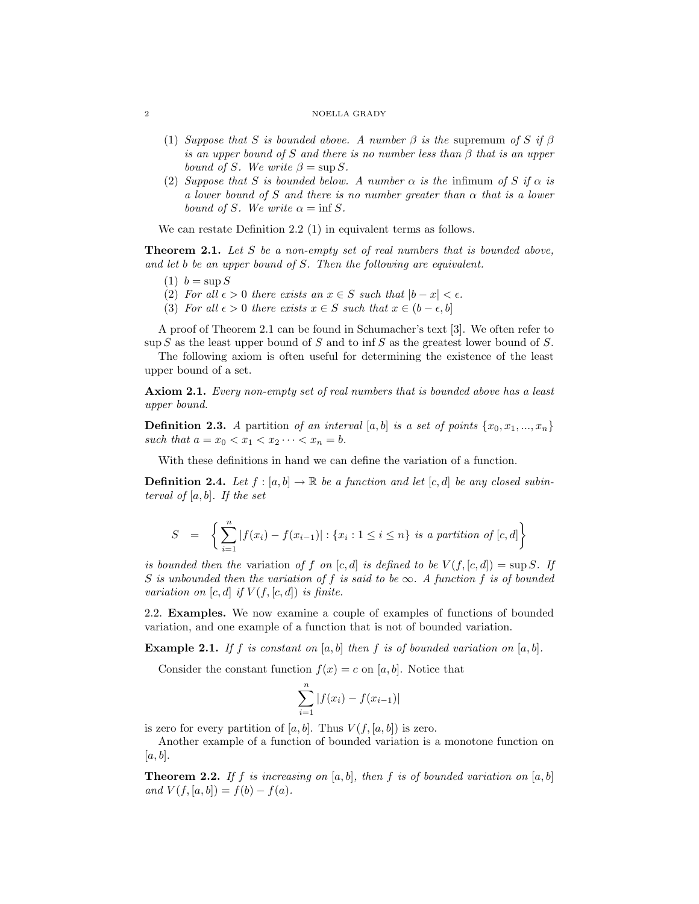#### ${\large \bf NOELLA \ GRADV}$

- (1) Suppose that S is bounded above. A number  $\beta$  is the supremum of S if  $\beta$ is an upper bound of S and there is no number less than  $\beta$  that is an upper bound of S. We write  $\beta = \sup S$ .
- (2) Suppose that S is bounded below. A number  $\alpha$  is the infimum of S if  $\alpha$  is a lower bound of S and there is no number greater than  $\alpha$  that is a lower bound of S. We write  $\alpha = \inf S$ .

We can restate Definition 2.2 (1) in equivalent terms as follows.

**Theorem 2.1.** Let S be a non-empty set of real numbers that is bounded above, and let b be an upper bound of S. Then the following are equivalent.

- $(1)$   $b = \text{sup } S$
- (2) For all  $\epsilon > 0$  there exists an  $x \in S$  such that  $|b x| < \epsilon$ .
- (3) For all  $\epsilon > 0$  there exists  $x \in S$  such that  $x \in (b \epsilon, b]$

A proof of Theorem 2.1 can be found in Schumacher's text [3]. We often refer to  $\sup S$  as the least upper bound of S and to  $\inf S$  as the greatest lower bound of S.

The following axiom is often useful for determining the existence of the least upper bound of a set.

Axiom 2.1. Every non-empty set of real numbers that is bounded above has a least upper bound.

**Definition 2.3.** A partition of an interval [a, b] is a set of points  $\{x_0, x_1, ..., x_n\}$ such that  $a = x_0 < x_1 < x_2 \cdots < x_n = b$ .

With these definitions in hand we can define the variation of a function.

**Definition 2.4.** Let  $f : [a, b] \to \mathbb{R}$  be a function and let  $[c, d]$  be any closed subinterval of  $[a, b]$ . If the set

$$
S = \left\{ \sum_{i=1}^{n} |f(x_i) - f(x_{i-1})| : \{x_i : 1 \le i \le n\} \text{ is a partition of } [c, d] \right\}
$$

is bounded then the variation of f on  $[c, d]$  is defined to be  $V(f, [c, d]) = \sup S$ . If S is unbounded then the variation of f is said to be  $\infty$ . A function f is of bounded variation on  $[c, d]$  if  $V(f, [c, d])$  is finite.

2.2. Examples. We now examine a couple of examples of functions of bounded variation, and one example of a function that is not of bounded variation.

**Example 2.1.** If f is constant on [a, b] then f is of bounded variation on [a, b].

Consider the constant function  $f(x) = c$  on [a, b]. Notice that

$$
\sum_{i=1}^{n} |f(x_i) - f(x_{i-1})|
$$

is zero for every partition of [a, b]. Thus  $V(f, [a, b])$  is zero.

Another example of a function of bounded variation is a monotone function on  $[a, b]$ .

**Theorem 2.2.** If f is increasing on [a, b], then f is of bounded variation on [a, b] and  $V(f, [a, b]) = f(b) - f(a)$ .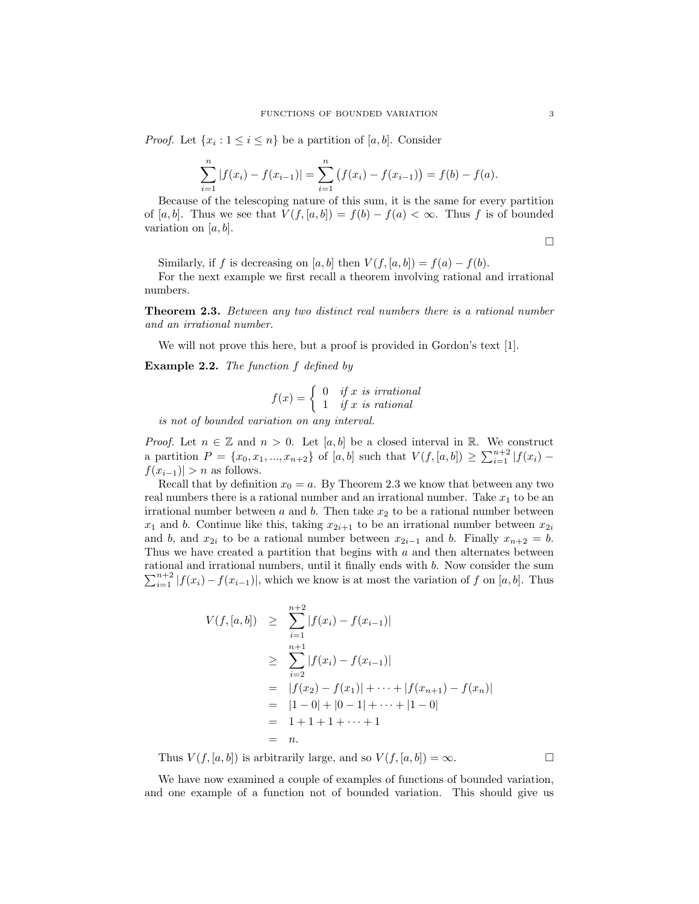*Proof.* Let  $\{x_i : 1 \le i \le n\}$  be a partition of  $[a, b]$ . Consider

$$
\sum_{i=1}^{n} |f(x_i) - f(x_{i-1})| = \sum_{i=1}^{n} (f(x_i) - f(x_{i-1})) = f(b) - f(a).
$$

Because of the telescoping nature of this sum, it is the same for every partition of [a, b]. Thus we see that  $V(f,[a,b]) = f(b) - f(a) < \infty$ . Thus f is of bounded variation on  $[a, b]$ .

$$
\Box
$$

Similarly, if f is decreasing on [a, b] then  $V(f, [a, b]) = f(a) - f(b)$ .

For the next example we first recall a theorem involving rational and irrational numbers.

**Theorem 2.3.** Between any two distinct real numbers there is a rational number and an irrational number.

We will not prove this here, but a proof is provided in Gordon's text [1].

Example 2.2. The function f defined by

$$
f(x) = \begin{cases} 0 & if x \text{ is irrational} \\ 1 & if x \text{ is rational} \end{cases}
$$

is not of bounded variation on any interval.

*Proof.* Let  $n \in \mathbb{Z}$  and  $n > 0$ . Let [a, b] be a closed interval in R. We construct a partition  $P = \{x_0, x_1, ..., x_{n+2}\}\$  of  $[a, b]$  such that  $V(f, [a, b]) \ge \sum_{i=1}^{n+2} |f(x_i) - f(x_i)|\}$  $f(x_{i-1})$ | > n as follows.

Recall that by definition  $x_0 = a$ . By Theorem 2.3 we know that between any two real numbers there is a rational number and an irrational number. Take  $x_1$  to be an irrational number between  $a$  and  $b$ . Then take  $x<sub>2</sub>$  to be a rational number between  $x_1$  and b. Continue like this, taking  $x_{2i+1}$  to be an irrational number between  $x_{2i}$ and b, and  $x_{2i}$  to be a rational number between  $x_{2i-1}$  and b. Finally  $x_{n+2} = b$ . Thus we have created a partition that begins with  $a$  and then alternates between rational and irrational numbers, until it finally ends with b. Now consider the sum  $\sum_{i=1}^{n+2} |f(x_i) - f(x_{i-1})|$ , which we know is at most the variation of f on [a, b]. Thus

$$
V(f, [a, b]) \geq \sum_{i=1}^{n+2} |f(x_i) - f(x_{i-1})|
$$
  
\n
$$
\geq \sum_{i=2}^{n+1} |f(x_i) - f(x_{i-1})|
$$
  
\n
$$
= |f(x_2) - f(x_1)| + \dots + |f(x_{n+1}) - f(x_n)|
$$
  
\n
$$
= |1 - 0| + |0 - 1| + \dots + |1 - 0|
$$
  
\n
$$
= 1 + 1 + 1 + \dots + 1
$$
  
\n
$$
= n.
$$

Thus  $V(f, [a, b])$  is arbitrarily large, and so  $V(f, [a, b]) = \infty$ .

We have now examined a couple of examples of functions of bounded variation, and one example of a function not of bounded variation. This should give us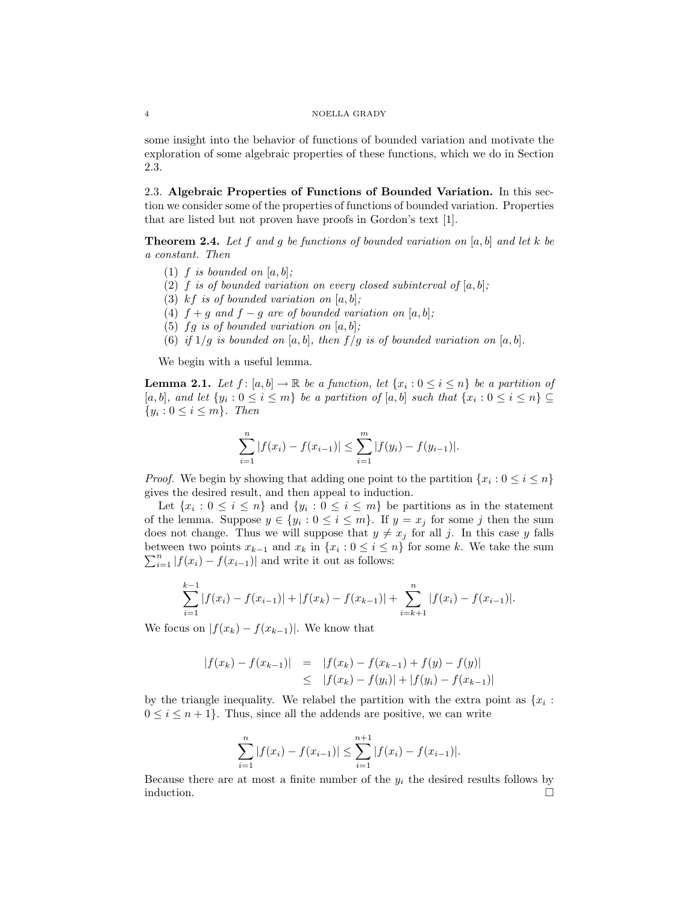#### 4 NOELLA GRADY

some insight into the behavior of functions of bounded variation and motivate the exploration of some algebraic properties of these functions, which we do in Section 2.3.

2.3. Algebraic Properties of Functions of Bounded Variation. In this section we consider some of the properties of functions of bounded variation. Properties that are listed but not proven have proofs in Gordon's text [1].

**Theorem 2.4.** Let f and g be functions of bounded variation on [a, b] and let k be a constant. Then

- (1) f is bounded on  $[a, b]$ ;
- (2) f is of bounded variation on every closed subinterval of  $[a, b]$ ;
- (3) kf is of bounded variation on  $[a, b]$ ;
- (4)  $f + g$  and  $f g$  are of bounded variation on  $[a, b]$ ;
- (5) fg is of bounded variation on  $[a, b]$ ;
- (6) if  $1/g$  is bounded on [a, b], then  $f/g$  is of bounded variation on [a, b].

We begin with a useful lemma.

**Lemma 2.1.** Let  $f: [a, b] \to \mathbb{R}$  be a function, let  $\{x_i : 0 \le i \le n\}$  be a partition of  $[a, b]$ , and let  $\{y_i : 0 \le i \le m\}$  be a partition of  $[a, b]$  such that  $\{x_i : 0 \le i \le n\} \subseteq$  $\{y_i: 0 \leq i \leq m\}$ . Then

$$
\sum_{i=1}^{n} |f(x_i) - f(x_{i-1})| \le \sum_{i=1}^{m} |f(y_i) - f(y_{i-1})|.
$$

*Proof.* We begin by showing that adding one point to the partition  $\{x_i : 0 \le i \le n\}$ gives the desired result, and then appeal to induction.

Let  $\{x_i : 0 \le i \le n\}$  and  $\{y_i : 0 \le i \le m\}$  be partitions as in the statement of the lemma. Suppose  $y \in \{y_i : 0 \le i \le m\}$ . If  $y = x_j$  for some j then the sum does not change. Thus we will suppose that  $y \neq x_j$  for all j. In this case y falls between two points  $x_{k-1}$  and  $x_k$  in  $\{x_i : 0 \leq i \leq n\}$  for some k. We take the sum  $\sum_{i=1}^{n} |f(x_i) - f(x_{i-1})|$  and write it out as follows:

$$
\sum_{i=1}^{k-1} |f(x_i) - f(x_{i-1})| + |f(x_k) - f(x_{k-1})| + \sum_{i=k+1}^{n} |f(x_i) - f(x_{i-1})|.
$$

We focus on  $|f(x_k) - f(x_{k-1})|$ . We know that

$$
|f(x_k) - f(x_{k-1})| = |f(x_k) - f(x_{k-1}) + f(y) - f(y)|
$$
  
\n
$$
\leq |f(x_k) - f(y_i)| + |f(y_i) - f(x_{k-1})|
$$

by the triangle inequality. We relabel the partition with the extra point as  $\{x_i :$  $0 \leq i \leq n+1$ . Thus, since all the addends are positive, we can write

$$
\sum_{i=1}^{n} |f(x_i) - f(x_{i-1})| \leq \sum_{i=1}^{n+1} |f(x_i) - f(x_{i-1})|.
$$

Because there are at most a finite number of the  $y_i$  the desired results follows by induction.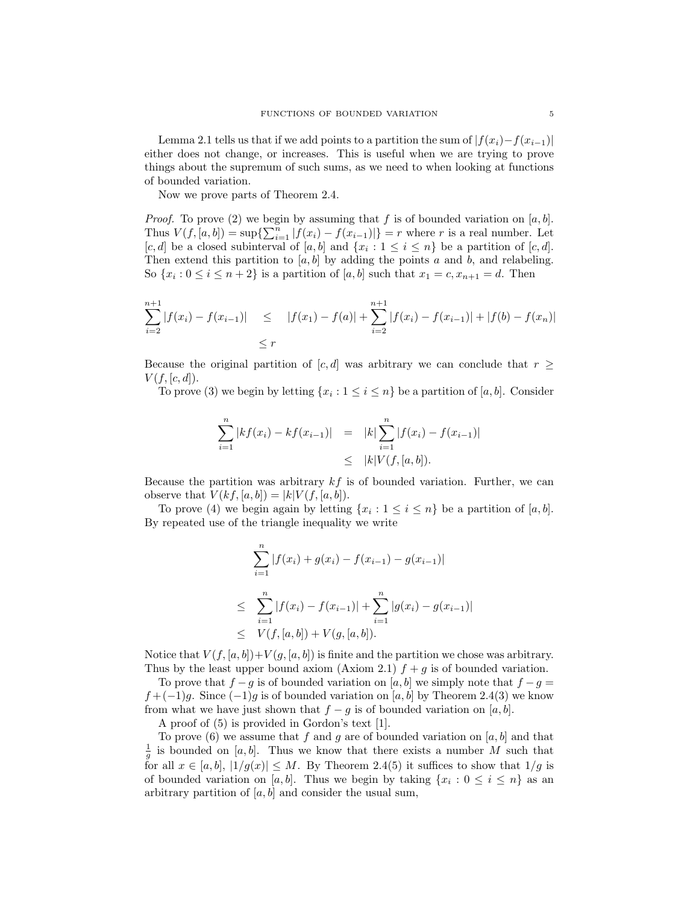Lemma 2.1 tells us that if we add points to a partition the sum of  $|f(x_i)-f(x_{i-1})|$ either does not change, or increases. This is useful when we are trying to prove things about the supremum of such sums, as we need to when looking at functions of bounded variation.

Now we prove parts of Theorem 2.4.

*Proof.* To prove (2) we begin by assuming that f is of bounded variation on  $[a, b]$ . Thus  $V(f, [a, b]) = \sup\{\sum_{i=1}^n |f(x_i) - f(x_{i-1})|\} = r$  where r is a real number. Let [c, d] be a closed subinterval of [a, b] and  $\{x_i : 1 \le i \le n\}$  be a partition of [c, d]. Then extend this partition to  $[a, b]$  by adding the points a and b, and relabeling. So  $\{x_i : 0 \le i \le n+2\}$  is a partition of  $[a, b]$  such that  $x_1 = c, x_{n+1} = d$ . Then

$$
\sum_{i=2}^{n+1} |f(x_i) - f(x_{i-1})| \le |f(x_1) - f(a)| + \sum_{i=2}^{n+1} |f(x_i) - f(x_{i-1})| + |f(b) - f(x_n)|
$$
  
\$\le r\$

Because the original partition of [c, d] was arbitrary we can conclude that  $r \geq$  $V(f, [c, d])$ .

To prove (3) we begin by letting  $\{x_i : 1 \le i \le n\}$  be a partition of  $[a, b]$ . Consider

$$
\sum_{i=1}^{n} |kf(x_i) - kf(x_{i-1})| = |k| \sum_{i=1}^{n} |f(x_i) - f(x_{i-1})|
$$
  
\n
$$
\leq |k| V(f, [a, b]).
$$

Because the partition was arbitrary  $kf$  is of bounded variation. Further, we can observe that  $V(kf, [a, b]) = |k| V(f, [a, b]).$ 

To prove (4) we begin again by letting  $\{x_i : 1 \le i \le n\}$  be a partition of  $[a, b]$ . By repeated use of the triangle inequality we write

$$
\sum_{i=1}^{n} |f(x_i) + g(x_i) - f(x_{i-1}) - g(x_{i-1})|
$$
\n
$$
\leq \sum_{i=1}^{n} |f(x_i) - f(x_{i-1})| + \sum_{i=1}^{n} |g(x_i) - g(x_{i-1})|
$$
\n
$$
\leq V(f, [a, b]) + V(g, [a, b]).
$$

Notice that  $V(f, [a, b]) + V(g, [a, b])$  is finite and the partition we chose was arbitrary. Thus by the least upper bound axiom (Axiom 2.1)  $f + g$  is of bounded variation.

To prove that  $f - g$  is of bounded variation on [a, b] we simply note that  $f - g =$  $f + (-1)g$ . Since  $(-1)g$  is of bounded variation on [a, b] by Theorem 2.4(3) we know from what we have just shown that  $f - g$  is of bounded variation on [a, b].

A proof of (5) is provided in Gordon's text [1].

To prove (6) we assume that f and g are of bounded variation on  $[a, b]$  and that  $\frac{1}{g}$  is bounded on [a, b]. Thus we know that there exists a number M such that for all  $x \in [a, b]$ ,  $|1/g(x)| \leq M$ . By Theorem 2.4(5) it suffices to show that  $1/g$  is of bounded variation on [a, b]. Thus we begin by taking  $\{x_i : 0 \le i \le n\}$  as an arbitrary partition of  $[a, b]$  and consider the usual sum,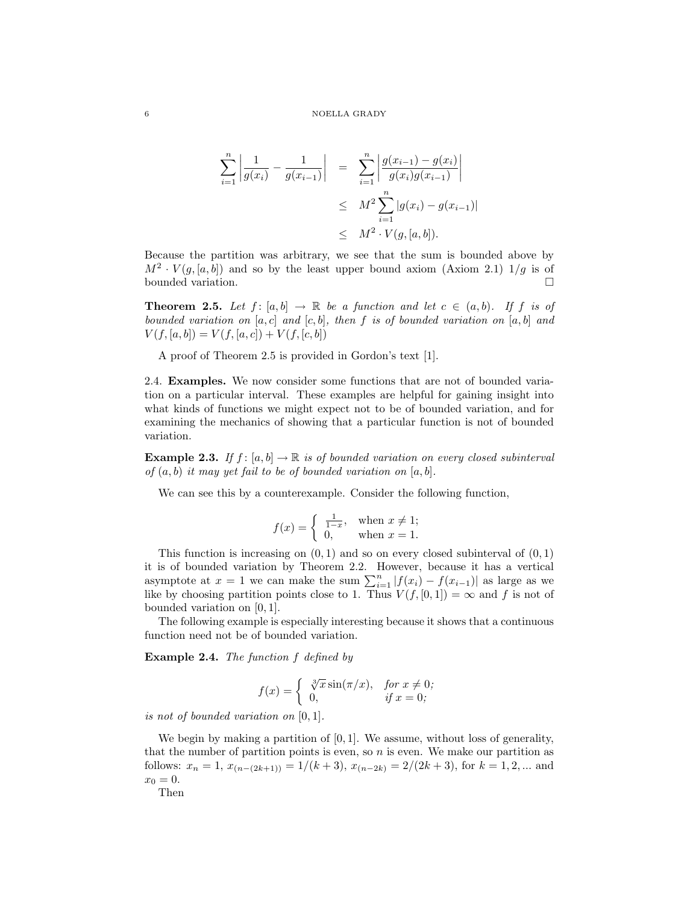$$
\sum_{i=1}^{n} \left| \frac{1}{g(x_i)} - \frac{1}{g(x_{i-1})} \right| = \sum_{i=1}^{n} \left| \frac{g(x_{i-1}) - g(x_i)}{g(x_i)g(x_{i-1})} \right|
$$
  

$$
\leq M^2 \sum_{i=1}^{n} |g(x_i) - g(x_{i-1})|
$$
  

$$
\leq M^2 \cdot V(g, [a, b]).
$$

Because the partition was arbitrary, we see that the sum is bounded above by  $M^2 \cdot V(g, [a, b])$  and so by the least upper bound axiom (Axiom 2.1)  $1/g$  is of bounded variation.

**Theorem 2.5.** Let  $f : [a, b] \rightarrow \mathbb{R}$  be a function and let  $c \in (a, b)$ . If f is of bounded variation on  $[a, c]$  and  $[c, b]$ , then f is of bounded variation on  $[a, b]$  and  $V(f, [a, b]) = V(f, [a, c]) + V(f, [c, b])$ 

A proof of Theorem 2.5 is provided in Gordon's text [1].

2.4. Examples. We now consider some functions that are not of bounded variation on a particular interval. These examples are helpful for gaining insight into what kinds of functions we might expect not to be of bounded variation, and for examining the mechanics of showing that a particular function is not of bounded variation.

**Example 2.3.** If  $f : [a, b] \to \mathbb{R}$  is of bounded variation on every closed subinterval of  $(a, b)$  it may yet fail to be of bounded variation on  $[a, b]$ .

We can see this by a counterexample. Consider the following function,

$$
f(x) = \begin{cases} \frac{1}{1-x}, & \text{when } x \neq 1; \\ 0, & \text{when } x = 1. \end{cases}
$$

This function is increasing on  $(0, 1)$  and so on every closed subinterval of  $(0, 1)$ it is of bounded variation by Theorem 2.2. However, because it has a vertical asymptote at  $x = 1$  we can make the sum  $\sum_{i=1}^{n} |f(x_i) - f(x_{i-1})|$  as large as we like by choosing partition points close to 1. Thus  $V(f, [0, 1]) = \infty$  and f is not of bounded variation on [0, 1].

The following example is especially interesting because it shows that a continuous function need not be of bounded variation.

Example 2.4. The function f defined by

$$
f(x) = \begin{cases} \sqrt[3]{x} \sin(\pi/x), & \text{for } x \neq 0; \\ 0, & \text{if } x = 0; \end{cases}
$$

is not of bounded variation on [0, 1].

We begin by making a partition of  $[0, 1]$ . We assume, without loss of generality, that the number of partition points is even, so  $n$  is even. We make our partition as follows:  $x_n = 1$ ,  $x_{(n-(2k+1))} = 1/(k+3)$ ,  $x_{(n-2k)} = 2/(2k+3)$ , for  $k = 1, 2, ...$  and  $x_0 = 0.$ 

Then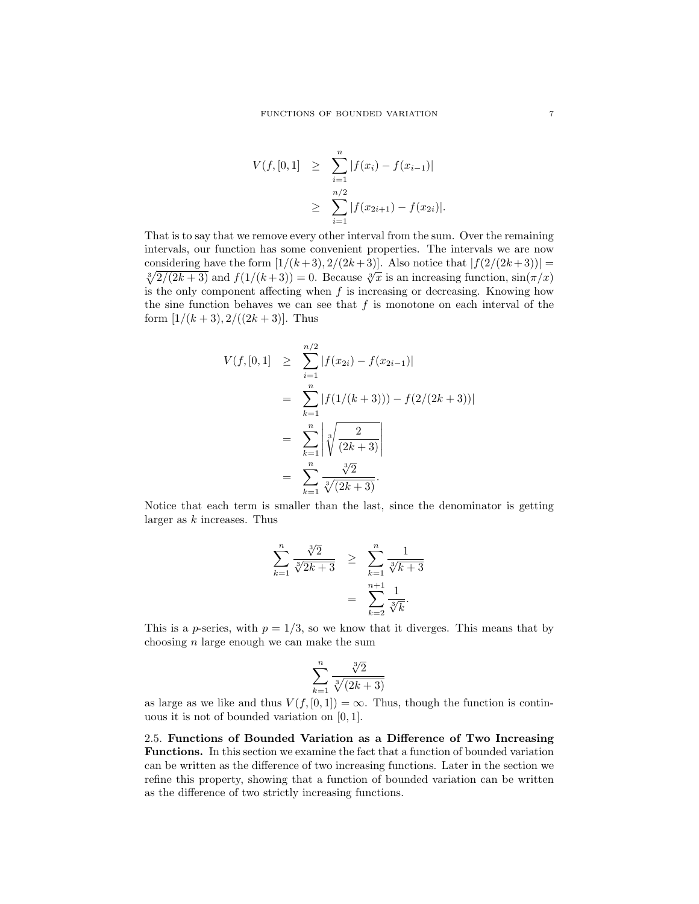$$
V(f, [0, 1] \geq \sum_{i=1}^{n} |f(x_i) - f(x_{i-1})|
$$
  
 
$$
\geq \sum_{i=1}^{n/2} |f(x_{2i+1}) - f(x_{2i})|.
$$

That is to say that we remove every other interval from the sum. Over the remaining intervals, our function has some convenient properties. The intervals we are now considering have the form  $[1/(k+3), 2/(2k+3)]$ . Also notice that  $|f(2/(2k+3))|$  = bonshielding have the form  $[1/(\kappa+3), 2/(\kappa+3)]$ . Also notice that  $[1/(\kappa+3)] =$ <br> $\sqrt[3]{2/(2k+3)}$  and  $f(1/(\kappa+3)) = 0$ . Because  $\sqrt[3]{x}$  is an increasing function,  $\sin(\pi/x)$ is the only component affecting when  $f$  is increasing or decreasing. Knowing how the sine function behaves we can see that  $f$  is monotone on each interval of the form  $[1/(k+3), 2/((2k+3))$ . Thus

$$
V(f, [0,1] \geq \sum_{i=1}^{n/2} |f(x_{2i}) - f(x_{2i-1})|
$$
  
= 
$$
\sum_{k=1}^{n} |f(1/(k+3))) - f(2/(2k+3))|
$$
  
= 
$$
\sum_{k=1}^{n} \left| \sqrt[3]{\frac{2}{(2k+3)}} \right|
$$
  
= 
$$
\sum_{k=1}^{n} \frac{\sqrt[3]{2}}{\sqrt[3]{(2k+3)}}.
$$

Notice that each term is smaller than the last, since the denominator is getting larger as  $k$  increases. Thus

$$
\sum_{k=1}^{n} \frac{\sqrt[3]{2}}{\sqrt[3]{2k+3}} \ge \sum_{k=1}^{n} \frac{1}{\sqrt[3]{k+3}} = \sum_{k=2}^{n+1} \frac{1}{\sqrt[3]{k}}.
$$

This is a p-series, with  $p = 1/3$ , so we know that it diverges. This means that by choosing  $n$  large enough we can make the sum

$$
\sum_{k=1}^{n} \frac{\sqrt[3]{2}}{\sqrt[3]{(2k+3)}}
$$

as large as we like and thus  $V(f, [0, 1]) = \infty$ . Thus, though the function is continuous it is not of bounded variation on [0, 1].

2.5. Functions of Bounded Variation as a Difference of Two Increasing Functions. In this section we examine the fact that a function of bounded variation can be written as the difference of two increasing functions. Later in the section we refine this property, showing that a function of bounded variation can be written as the difference of two strictly increasing functions.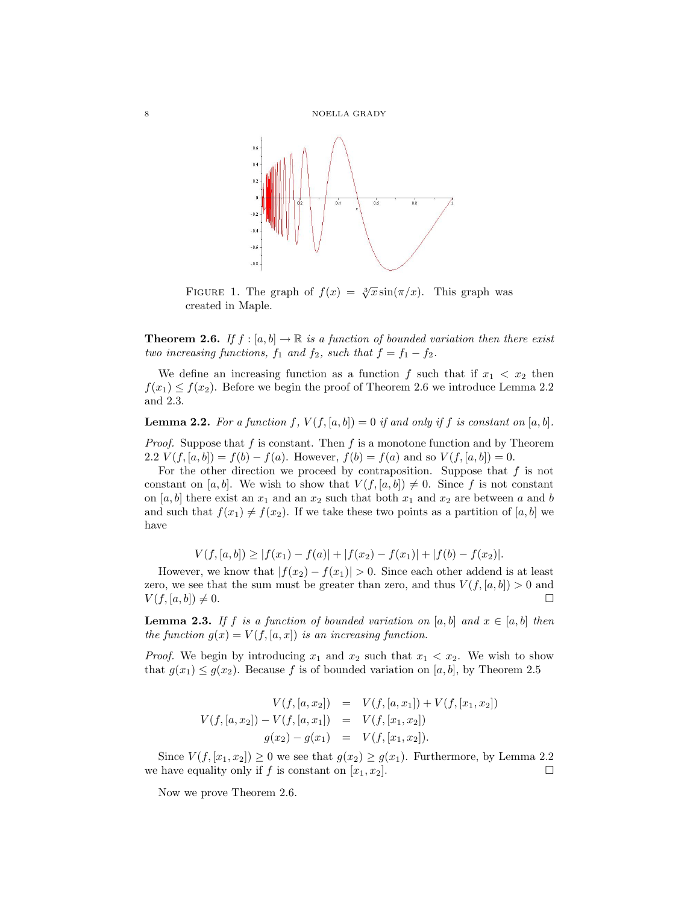

FIGURE 1. The graph of  $f(x) = \sqrt[3]{x} \sin(\pi/x)$ . This graph was created in Maple.

**Theorem 2.6.** If  $f : [a, b] \to \mathbb{R}$  is a function of bounded variation then there exist two increasing functions,  $f_1$  and  $f_2$ , such that  $f = f_1 - f_2$ .

We define an increasing function as a function f such that if  $x_1 < x_2$  then  $f(x_1) \le f(x_2)$ . Before we begin the proof of Theorem 2.6 we introduce Lemma 2.2 and 2.3.

**Lemma 2.2.** For a function f,  $V(f, [a, b]) = 0$  if and only if f is constant on  $[a, b]$ .

*Proof.* Suppose that f is constant. Then f is a monotone function and by Theorem 2.2  $V(f, [a, b]) = f(b) - f(a)$ . However,  $f(b) = f(a)$  and so  $V(f, [a, b]) = 0$ .

For the other direction we proceed by contraposition. Suppose that  $f$  is not constant on [a, b]. We wish to show that  $V(f, [a, b]) \neq 0$ . Since f is not constant on [a, b] there exist an  $x_1$  and an  $x_2$  such that both  $x_1$  and  $x_2$  are between a and b and such that  $f(x_1) \neq f(x_2)$ . If we take these two points as a partition of [a, b] we have

$$
V(f, [a, b]) \ge |f(x_1) - f(a)| + |f(x_2) - f(x_1)| + |f(b) - f(x_2)|.
$$

However, we know that  $|f(x_2) - f(x_1)| > 0$ . Since each other addend is at least zero, we see that the sum must be greater than zero, and thus  $V(f,[a,b]) > 0$  and  $V(f, [a, b]) \neq 0.$ 

**Lemma 2.3.** If f is a function of bounded variation on [a, b] and  $x \in [a, b]$  then the function  $g(x) = V(f, [a, x])$  is an increasing function.

*Proof.* We begin by introducing  $x_1$  and  $x_2$  such that  $x_1 < x_2$ . We wish to show that  $g(x_1) \le g(x_2)$ . Because f is of bounded variation on [a, b], by Theorem 2.5

$$
V(f, [a, x_2]) = V(f, [a, x_1]) + V(f, [x_1, x_2])
$$
  

$$
V(f, [a, x_2]) - V(f, [a, x_1]) = V(f, [x_1, x_2])
$$
  

$$
g(x_2) - g(x_1) = V(f, [x_1, x_2]).
$$

Since  $V(f, [x_1, x_2]) \ge 0$  we see that  $g(x_2) \ge g(x_1)$ . Furthermore, by Lemma 2.2 we have equality only if f is constant on  $[x_1, x_2]$ .

Now we prove Theorem 2.6.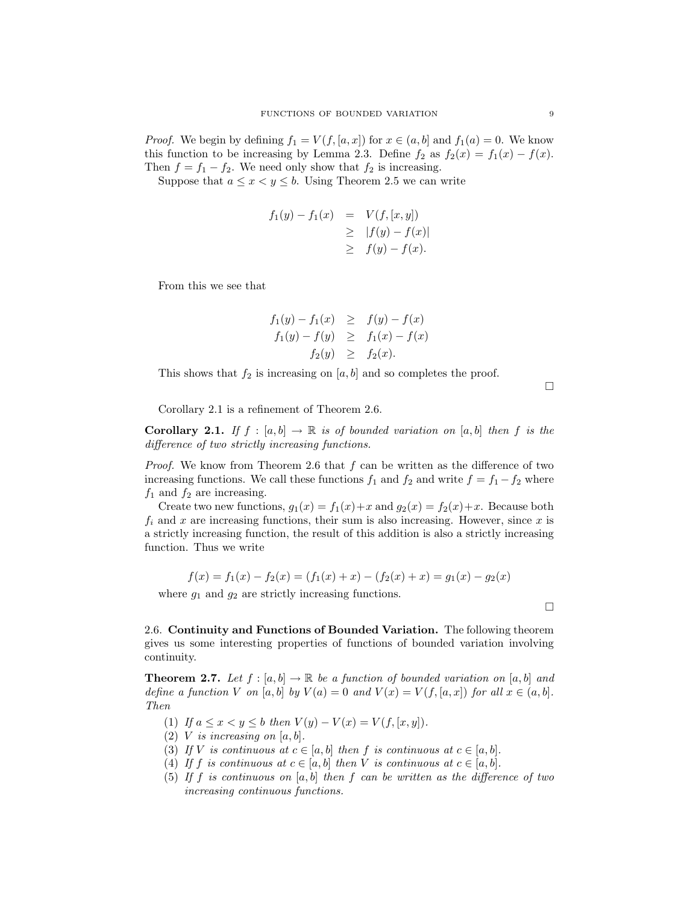*Proof.* We begin by defining  $f_1 = V(f, [a, x])$  for  $x \in (a, b]$  and  $f_1(a) = 0$ . We know this function to be increasing by Lemma 2.3. Define  $f_2$  as  $f_2(x) = f_1(x) - f(x)$ . Then  $f = f_1 - f_2$ . We need only show that  $f_2$  is increasing.

Suppose that  $a \leq x < y \leq b$ . Using Theorem 2.5 we can write

$$
f_1(y) - f_1(x) = V(f, [x, y])
$$
  
\n
$$
\geq |f(y) - f(x)|
$$
  
\n
$$
\geq f(y) - f(x).
$$

From this we see that

$$
f_1(y) - f_1(x) \geq f(y) - f(x)
$$
  
\n
$$
f_1(y) - f(y) \geq f_1(x) - f(x)
$$
  
\n
$$
f_2(y) \geq f_2(x).
$$

This shows that  $f_2$  is increasing on  $[a, b]$  and so completes the proof.

 $\Box$ 

Corollary 2.1 is a refinement of Theorem 2.6.

**Corollary 2.1.** If  $f : [a, b] \to \mathbb{R}$  is of bounded variation on [a, b] then f is the difference of two strictly increasing functions.

*Proof.* We know from Theorem 2.6 that f can be written as the difference of two increasing functions. We call these functions  $f_1$  and  $f_2$  and write  $f = f_1 - f_2$  where  $f_1$  and  $f_2$  are increasing.

Create two new functions,  $g_1(x) = f_1(x) + x$  and  $g_2(x) = f_2(x) + x$ . Because both  $f_i$  and x are increasing functions, their sum is also increasing. However, since x is a strictly increasing function, the result of this addition is also a strictly increasing function. Thus we write

$$
f(x) = f_1(x) - f_2(x) = (f_1(x) + x) - (f_2(x) + x) = g_1(x) - g_2(x)
$$

where  $g_1$  and  $g_2$  are strictly increasing functions.

 $\Box$ 

2.6. Continuity and Functions of Bounded Variation. The following theorem gives us some interesting properties of functions of bounded variation involving continuity.

**Theorem 2.7.** Let  $f : [a, b] \to \mathbb{R}$  be a function of bounded variation on  $[a, b]$  and define a function V on [a, b] by  $V(a) = 0$  and  $V(x) = V(f, [a, x])$  for all  $x \in (a, b]$ . Then

- (1) If  $a \le x < y \le b$  then  $V(y) V(x) = V(f, [x, y]).$
- (2) V is increasing on  $[a, b]$ .
- (3) If V is continuous at  $c \in [a, b]$  then f is continuous at  $c \in [a, b]$ .
- (4) If f is continuous at  $c \in [a, b]$  then V is continuous at  $c \in [a, b]$ .
- (5) If f is continuous on  $[a, b]$  then f can be written as the difference of two increasing continuous functions.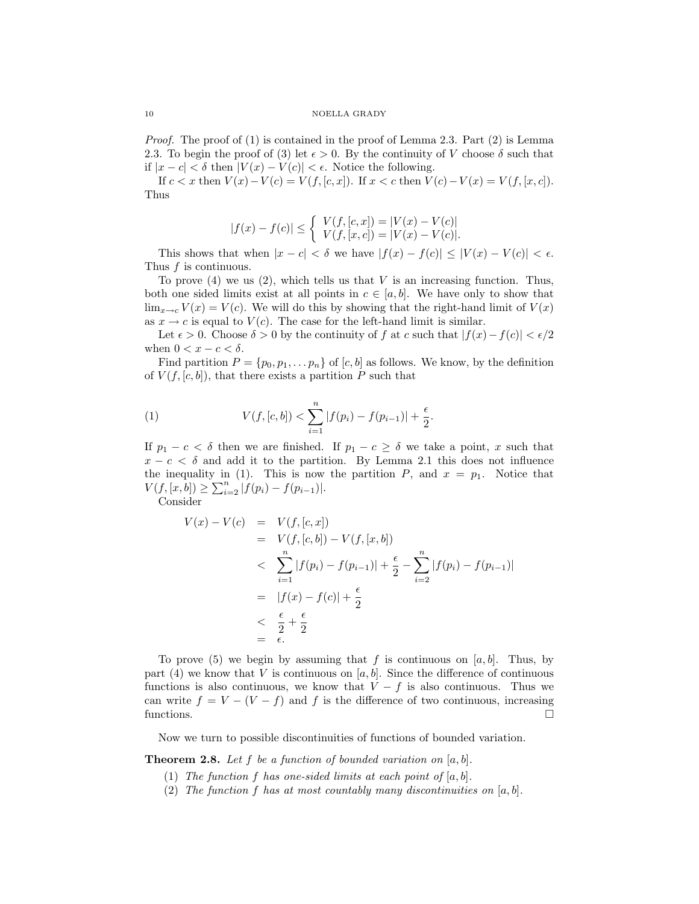*Proof.* The proof of  $(1)$  is contained in the proof of Lemma 2.3. Part  $(2)$  is Lemma 2.3. To begin the proof of (3) let  $\epsilon > 0$ . By the continuity of V choose  $\delta$  such that if  $|x-c| < \delta$  then  $|V(x) - V(c)| < \epsilon$ . Notice the following.

If  $c < x$  then  $V(x) - V(c) = V(f, [c, x])$ . If  $x < c$  then  $V(c) - V(x) = V(f, [x, c])$ . Thus

$$
|f(x)-f(c)|\leq \left\{\begin{array}{l} V(f,[c,x])=|V(x)-V(c)|\\ V(f,[x,c])=|V(x)-V(c)|.\end{array}\right.
$$

This shows that when  $|x - c| < \delta$  we have  $|f(x) - f(c)| \leq |V(x) - V(c)| < \epsilon$ . Thus f is continuous.

To prove  $(4)$  we us  $(2)$ , which tells us that V is an increasing function. Thus, both one sided limits exist at all points in  $c \in [a, b]$ . We have only to show that  $\lim_{x\to c} V(x) = V(c)$ . We will do this by showing that the right-hand limit of  $V(x)$ as  $x \to c$  is equal to  $V(c)$ . The case for the left-hand limit is similar.

Let  $\epsilon > 0$ . Choose  $\delta > 0$  by the continuity of f at c such that  $|f(x) - f(c)| < \epsilon/2$ when  $0 < x - c < \delta$ .

Find partition  $P = \{p_0, p_1, \ldots, p_n\}$  of  $[c, b]$  as follows. We know, by the definition of  $V(f, [c, b])$ , that there exists a partition P such that

(1) 
$$
V(f, [c, b]) < \sum_{i=1}^{n} |f(p_i) - f(p_{i-1})| + \frac{\epsilon}{2}.
$$

If  $p_1 - c < \delta$  then we are finished. If  $p_1 - c \ge \delta$  we take a point, x such that  $x - c < \delta$  and add it to the partition. By Lemma 2.1 this does not influence the inequality in (1). This is now the partition  $P$ , and  $x = p_1$ . Notice that  $V(f, [x, b]) \ge \sum_{i=2}^{n} |f(p_i) - f(p_{i-1})|$ .

Consider

$$
V(x) - V(c) = V(f, [c, x])
$$
  
=  $V(f, [c, b]) - V(f, [x, b])$   
 $\langle \sum_{i=1}^{n} |f(p_i) - f(p_{i-1})| + \frac{\epsilon}{2} - \sum_{i=2}^{n} |f(p_i) - f(p_{i-1})|$   
=  $|f(x) - f(c)| + \frac{\epsilon}{2}$   
 $\langle \frac{\epsilon}{2} + \frac{\epsilon}{2} \rangle$   
=  $\epsilon$ .

To prove (5) we begin by assuming that f is continuous on  $[a, b]$ . Thus, by part (4) we know that V is continuous on  $[a, b]$ . Since the difference of continuous functions is also continuous, we know that  $V - f$  is also continuous. Thus we can write  $f = V - (V - f)$  and f is the difference of two continuous, increasing functions.

Now we turn to possible discontinuities of functions of bounded variation.

**Theorem 2.8.** Let f be a function of bounded variation on  $[a, b]$ .

- (1) The function f has one-sided limits at each point of  $[a, b]$ .
- (2) The function f has at most countably many discontinuities on  $[a, b]$ .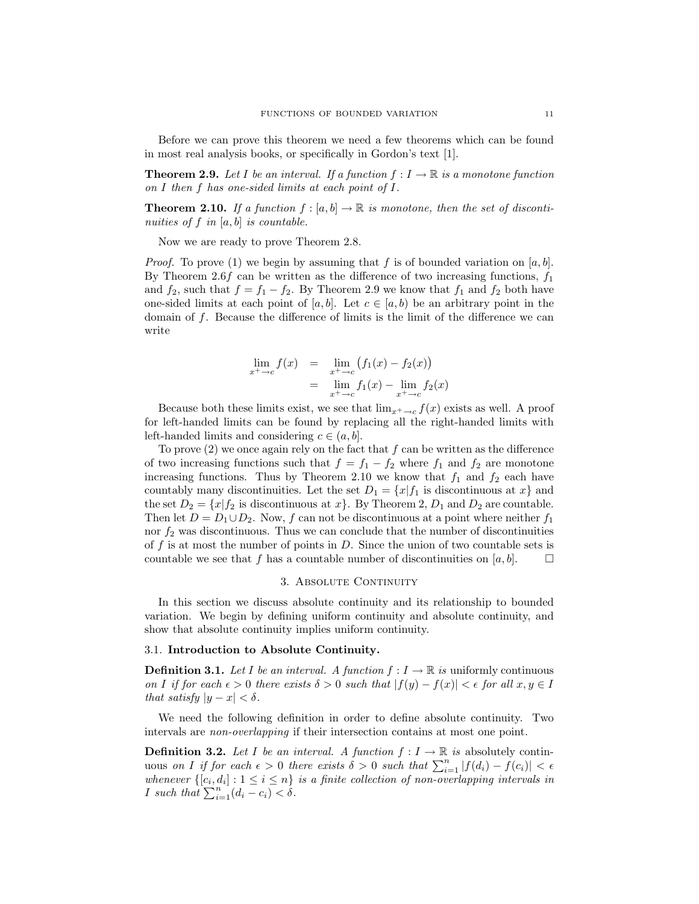Before we can prove this theorem we need a few theorems which can be found in most real analysis books, or specifically in Gordon's text [1].

**Theorem 2.9.** Let I be an interval. If a function  $f: I \to \mathbb{R}$  is a monotone function on I then f has one-sided limits at each point of I.

**Theorem 2.10.** If a function  $f : [a, b] \to \mathbb{R}$  is monotone, then the set of discontinuities of  $f$  in  $[a, b]$  is countable.

Now we are ready to prove Theorem 2.8.

*Proof.* To prove (1) we begin by assuming that f is of bounded variation on [a, b]. By Theorem 2.6f can be written as the difference of two increasing functions,  $f_1$ and  $f_2$ , such that  $f = f_1 - f_2$ . By Theorem 2.9 we know that  $f_1$  and  $f_2$  both have one-sided limits at each point of [a, b]. Let  $c \in [a, b)$  be an arbitrary point in the domain of f. Because the difference of limits is the limit of the difference we can write

$$
\lim_{x^+ \to c} f(x) = \lim_{x^+ \to c} (f_1(x) - f_2(x))
$$
  
= 
$$
\lim_{x^+ \to c} f_1(x) - \lim_{x^+ \to c} f_2(x)
$$

Because both these limits exist, we see that  $\lim_{x \to c} f(x)$  exists as well. A proof for left-handed limits can be found by replacing all the right-handed limits with left-handed limits and considering  $c \in (a, b]$ .

To prove  $(2)$  we once again rely on the fact that  $f$  can be written as the difference of two increasing functions such that  $f = f_1 - f_2$  where  $f_1$  and  $f_2$  are monotone increasing functions. Thus by Theorem 2.10 we know that  $f_1$  and  $f_2$  each have countably many discontinuities. Let the set  $D_1 = \{x | f_1 \text{ is discontinuous at } x\}$  and the set  $D_2 = \{x | f_2 \text{ is discontinuous at } x\}$ . By Theorem 2,  $D_1$  and  $D_2$  are countable. Then let  $D = D_1 \cup D_2$ . Now, f can not be discontinuous at a point where neither  $f_1$ nor  $f_2$  was discontinuous. Thus we can conclude that the number of discontinuities of f is at most the number of points in  $D$ . Since the union of two countable sets is countable we see that f has a countable number of discontinuities on  $[a, b]$ .

# 3. ABSOLUTE CONTINUITY

In this section we discuss absolute continuity and its relationship to bounded variation. We begin by defining uniform continuity and absolute continuity, and show that absolute continuity implies uniform continuity.

### 3.1. Introduction to Absolute Continuity.

**Definition 3.1.** Let I be an interval. A function  $f: I \to \mathbb{R}$  is uniformly continuous on I if for each  $\epsilon > 0$  there exists  $\delta > 0$  such that  $|f(y) - f(x)| < \epsilon$  for all  $x, y \in I$ that satisfy  $|y - x| < \delta$ .

We need the following definition in order to define absolute continuity. Two intervals are non-overlapping if their intersection contains at most one point.

**Definition 3.2.** Let I be an interval. A function  $f: I \to \mathbb{R}$  is absolutely continuous on I if for each  $\epsilon > 0$  there exists  $\delta > 0$  such that  $\sum_{i=1}^{n} |f(d_i) - f(c_i)| < \epsilon$ whenever  $\{[c_i, d_i] : 1 \leq i \leq n\}$  is a finite collection of non-overlapping intervals in *I* such that  $\sum_{i=1}^{n} (d_i - c_i) < \delta$ .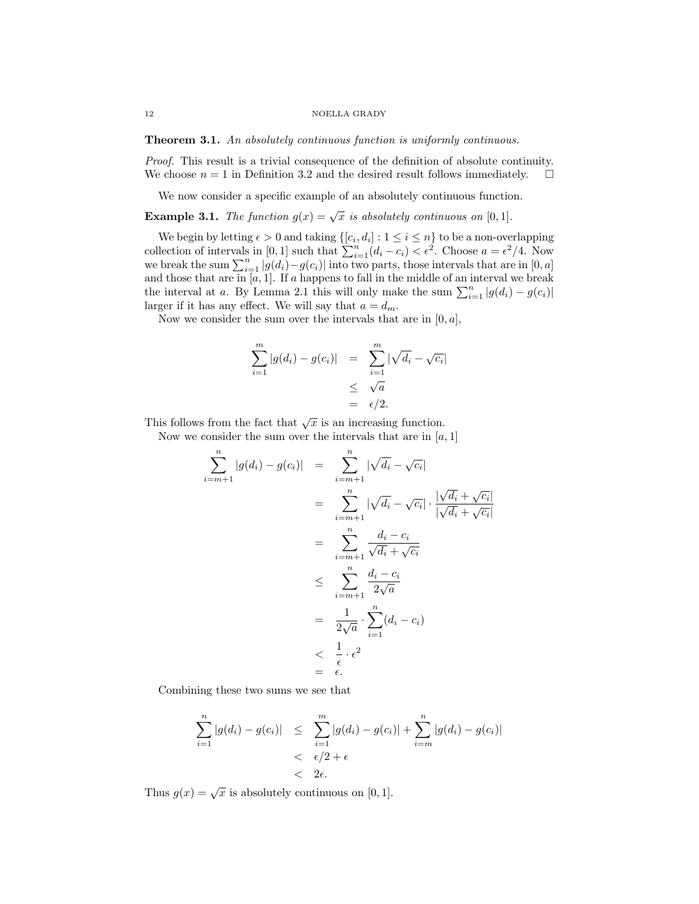#### 12 NOELLA GRADY

Theorem 3.1. An absolutely continuous function is uniformly continuous.

Proof. This result is a trivial consequence of the definition of absolute continuity. We choose  $n = 1$  in Definition 3.2 and the desired result follows immediately.  $\square$ 

We now consider a specific example of an absolutely continuous function.

**Example 3.1.** The function  $g(x) = \sqrt{x}$  is absolutely continuous on [0, 1].

We begin by letting  $\epsilon > 0$  and taking  $\{[c_i, d_i] : 1 \le i \le n\}$  to be a non-overlapping collection of intervals in [0, 1] such that  $\sum_{i=1}^{n} (d_i - c_i) < \epsilon^2$ . Choose  $a = \epsilon^2/4$ . Now we break the sum  $\sum_{i=1}^{n} |g(d_i) - g(c_i)|$  into two parts, those intervals that are in [0, a] and those that are in  $[a, 1]$ . If a happens to fall in the middle of an interval we break the interval at a. By Lemma 2.1 this will only make the sum  $\sum_{i=1}^{n} |g(d_i) - g(c_i)|$ larger if it has any effect. We will say that  $a = d_m$ .

Now we consider the sum over the intervals that are in  $[0, a]$ ,

$$
\sum_{i=1}^{m} |g(d_i) - g(c_i)| = \sum_{i=1}^{m} |\sqrt{d_i} - \sqrt{c_i}|
$$
  

$$
\leq \sqrt{a}
$$
  

$$
= \epsilon/2.
$$

This follows from the fact that  $\sqrt{x}$  is an increasing function.

Now we consider the sum over the intervals that are in  $[a, 1]$ 

$$
\sum_{i=m+1}^{n} |g(d_i) - g(c_i)| = \sum_{i=m+1}^{n} |\sqrt{d_i} - \sqrt{c_i}|
$$
  

$$
= \sum_{i=m+1}^{n} |\sqrt{d_i} - \sqrt{c_i}| \cdot \frac{|\sqrt{d_i} + \sqrt{c_i}|}{|\sqrt{d_i} + \sqrt{c_i}|}
$$
  

$$
= \sum_{i=m+1}^{n} \frac{d_i - c_i}{\sqrt{d_i} + \sqrt{c_i}}
$$
  

$$
\leq \sum_{i=m+1}^{n} \frac{d_i - c_i}{2\sqrt{a}}
$$
  

$$
= \frac{1}{2\sqrt{a}} \cdot \sum_{i=1}^{n} (d_i - c_i)
$$
  

$$
< \frac{1}{\epsilon} \cdot \epsilon^2
$$
  

$$
= \epsilon.
$$

Combining these two sums we see that

$$
\sum_{i=1}^{n} |g(d_i) - g(c_i)| \leq \sum_{i=1}^{m} |g(d_i) - g(c_i)| + \sum_{i=m}^{n} |g(d_i) - g(c_i)|
$$
  
< 
$$
< \epsilon/2 + \epsilon
$$
  
< 
$$
< 2\epsilon.
$$

Thus  $g(x) = \sqrt{x}$  is absolutely continuous on [0, 1].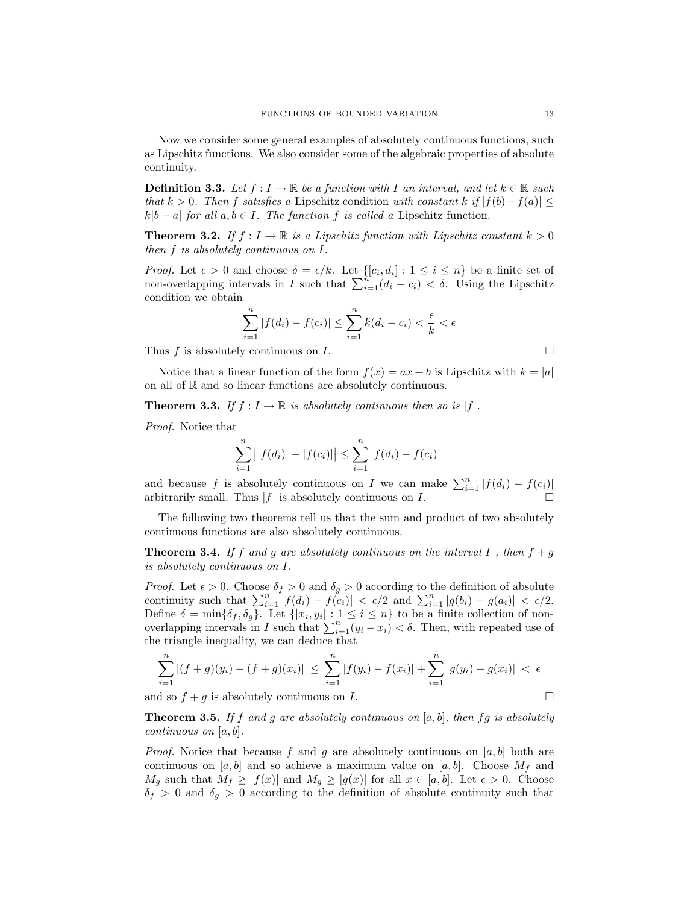Now we consider some general examples of absolutely continuous functions, such as Lipschitz functions. We also consider some of the algebraic properties of absolute continuity.

**Definition 3.3.** Let  $f: I \to \mathbb{R}$  be a function with I an interval, and let  $k \in \mathbb{R}$  such that k > 0. Then f satisfies a Lipschitz condition with constant k if  $|f(b)-f(a)| \leq$  $k|b - a|$  for all  $a, b \in I$ . The function f is called a Lipschitz function.

**Theorem 3.2.** If  $f : I \to \mathbb{R}$  is a Lipschitz function with Lipschitz constant  $k > 0$ then f is absolutely continuous on I.

*Proof.* Let  $\epsilon > 0$  and choose  $\delta = \epsilon/k$ . Let  $\{[c_i, d_i] : 1 \leq i \leq n\}$  be a finite set of non-overlapping intervals in I such that  $\sum_{i=1}^{n} (d_i - c_i) < \delta$ . Using the Lipschitz condition we obtain

$$
\sum_{i=1}^{n} |f(d_i) - f(c_i)| \le \sum_{i=1}^{n} k(d_i - c_i) < \frac{\epsilon}{k} < \epsilon
$$

Thus f is absolutely continuous on I.  $\Box$ 

Notice that a linear function of the form  $f(x) = ax + b$  is Lipschitz with  $k = |a|$ on all of R and so linear functions are absolutely continuous.

**Theorem 3.3.** If  $f: I \to \mathbb{R}$  is absolutely continuous then so is  $|f|$ .

Proof. Notice that

$$
\sum_{i=1}^{n} ||f(d_i)|| - |f(c_i)|| \le \sum_{i=1}^{n} |f(d_i) - f(c_i)|
$$

and because f is absolutely continuous on I we can make  $\sum_{i=1}^{n} |f(d_i) - f(c_i)|$ arbitrarily small. Thus  $|f|$  is absolutely continuous on  $I$ .

The following two theorems tell us that the sum and product of two absolutely continuous functions are also absolutely continuous.

**Theorem 3.4.** If f and g are absolutely continuous on the interval I, then  $f + g$ is absolutely continuous on I.

*Proof.* Let  $\epsilon > 0$ . Choose  $\delta_f > 0$  and  $\delta_q > 0$  according to the definition of absolute continuity such that  $\sum_{i=1}^n |f(d_i) - f(c_i)| < \epsilon/2$  and  $\sum_{i=1}^n |g(b_i) - g(a_i)| < \epsilon/2$ . Define  $\delta = \min\{\delta_f, \delta_g\}$ . Let  $\{[x_i, y_i] : 1 \le i \le n\}$  to be a finite collection of nonoverlapping intervals in I such that  $\sum_{i=1}^{n} (y_i - x_i) < \delta$ . Then, with repeated use of the triangle inequality, we can deduce that

$$
\sum_{i=1}^{n} |(f+g)(y_i) - (f+g)(x_i)| \leq \sum_{i=1}^{n} |f(y_i) - f(x_i)| + \sum_{i=1}^{n} |g(y_i) - g(x_i)| < \epsilon
$$

and so  $f + g$  is absolutely continuous on I.

**Theorem 3.5.** If f and g are absolutely continuous on  $[a, b]$ , then fg is absolutely continuous on  $[a, b]$ .

*Proof.* Notice that because f and g are absolutely continuous on [a, b] both are continuous on  $[a, b]$  and so achieve a maximum value on  $[a, b]$ . Choose  $M_f$  and  $M_g$  such that  $M_f \geq |f(x)|$  and  $M_g \geq |g(x)|$  for all  $x \in [a, b]$ . Let  $\epsilon > 0$ . Choose  $\delta_f > 0$  and  $\delta_g > 0$  according to the definition of absolute continuity such that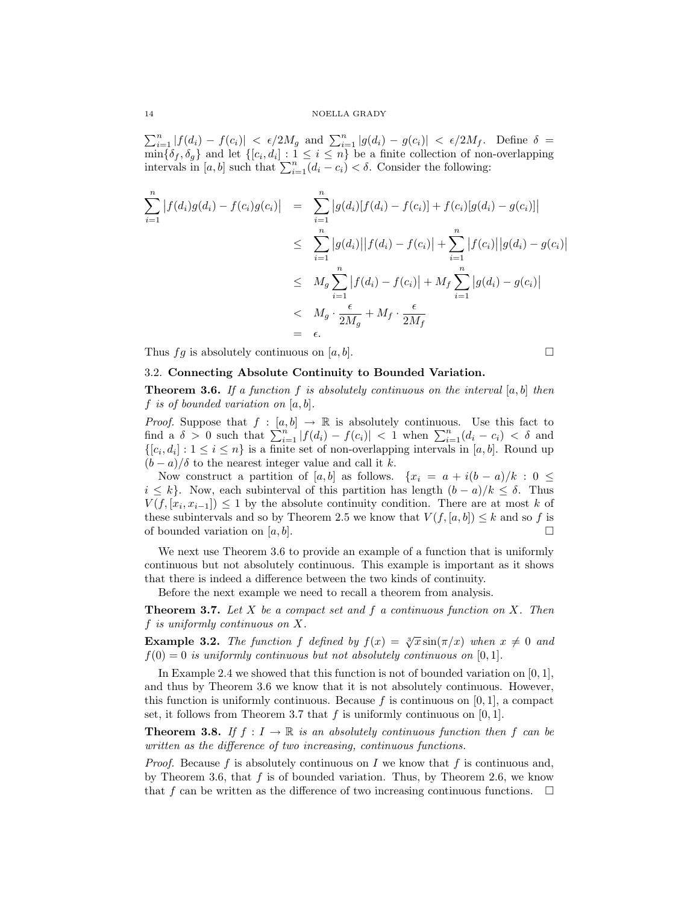#### 14 NOELLA GRADY

 $\sum_{i=1}^{n} |f(d_i) - f(c_i)| < \epsilon/2M_g$  and  $\sum_{i=1}^{n} |g(d_i) - g(c_i)| < \epsilon/2M_f$ . Define  $\delta =$  $\min\{\delta_f,\delta_g\}$  and let  $\{[c_i,d_i]:1\leq i\leq n\}$  be a finite collection of non-overlapping intervals in [a, b] such that  $\sum_{i=1}^{n} (d_i - c_i) < \delta$ . Consider the following:

$$
\sum_{i=1}^{n} |f(d_i)g(d_i) - f(c_i)g(c_i)| = \sum_{i=1}^{n} |g(d_i)[f(d_i) - f(c_i)] + f(c_i)[g(d_i) - g(c_i)]|
$$
  
\n
$$
\leq \sum_{i=1}^{n} |g(d_i)||f(d_i) - f(c_i)| + \sum_{i=1}^{n} |f(c_i)||g(d_i) - g(c_i)|
$$
  
\n
$$
\leq M_g \sum_{i=1}^{n} |f(d_i) - f(c_i)| + M_f \sum_{i=1}^{n} |g(d_i) - g(c_i)|
$$
  
\n
$$
< M_g \cdot \frac{\epsilon}{2M_g} + M_f \cdot \frac{\epsilon}{2M_f}
$$
  
\n
$$
= \epsilon.
$$

Thus  $fg$  is absolutely continuous on  $[a, b]$ .

$$
\Box
$$

 $\overline{\phantom{a}}$  $\overline{\phantom{a}}$ 

## 3.2. Connecting Absolute Continuity to Bounded Variation.

**Theorem 3.6.** If a function f is absolutely continuous on the interval  $[a, b]$  then f is of bounded variation on  $[a, b]$ .

*Proof.* Suppose that  $f : [a, b] \rightarrow \mathbb{R}$  is absolutely continuous. Use this fact to find a  $\delta > 0$  such that  $\sum_{i=1}^{n} |f(d_i) - f(c_i)| < 1$  when  $\sum_{i=1}^{n} (d_i - c_i) < \delta$  and  $\{[c_i, d_i] : 1 \leq i \leq n\}$  is a finite set of non-overlapping intervals in [a, b]. Round up  $(b-a)/\delta$  to the nearest integer value and call it k.

Now construct a partition of [a, b] as follows. { $x_i = a + i(b - a)/k$ : 0  $\leq$  $i \leq k$ . Now, each subinterval of this partition has length  $(b-a)/k \leq \delta$ . Thus  $V(f, [x_i, x_{i-1}]) \leq 1$  by the absolute continuity condition. There are at most k of these subintervals and so by Theorem 2.5 we know that  $V(f, [a, b]) \leq k$  and so f is of bounded variation on  $[a, b]$ .

We next use Theorem 3.6 to provide an example of a function that is uniformly continuous but not absolutely continuous. This example is important as it shows that there is indeed a difference between the two kinds of continuity.

Before the next example we need to recall a theorem from analysis.

**Theorem 3.7.** Let X be a compact set and f a continuous function on X. Then f is uniformly continuous on X.

**Example 3.2.** The function f defined by  $f(x) = \sqrt[3]{x} \sin(\pi/x)$  when  $x \neq 0$  and  $f(0) = 0$  is uniformly continuous but not absolutely continuous on [0, 1].

In Example 2.4 we showed that this function is not of bounded variation on  $[0, 1]$ , and thus by Theorem 3.6 we know that it is not absolutely continuous. However, this function is uniformly continuous. Because f is continuous on  $[0, 1]$ , a compact set, it follows from Theorem 3.7 that  $f$  is uniformly continuous on [0, 1].

**Theorem 3.8.** If  $f : I \to \mathbb{R}$  is an absolutely continuous function then f can be written as the difference of two increasing, continuous functions.

*Proof.* Because f is absolutely continuous on I we know that f is continuous and, by Theorem 3.6, that  $f$  is of bounded variation. Thus, by Theorem 2.6, we know that f can be written as the difference of two increasing continuous functions.  $\Box$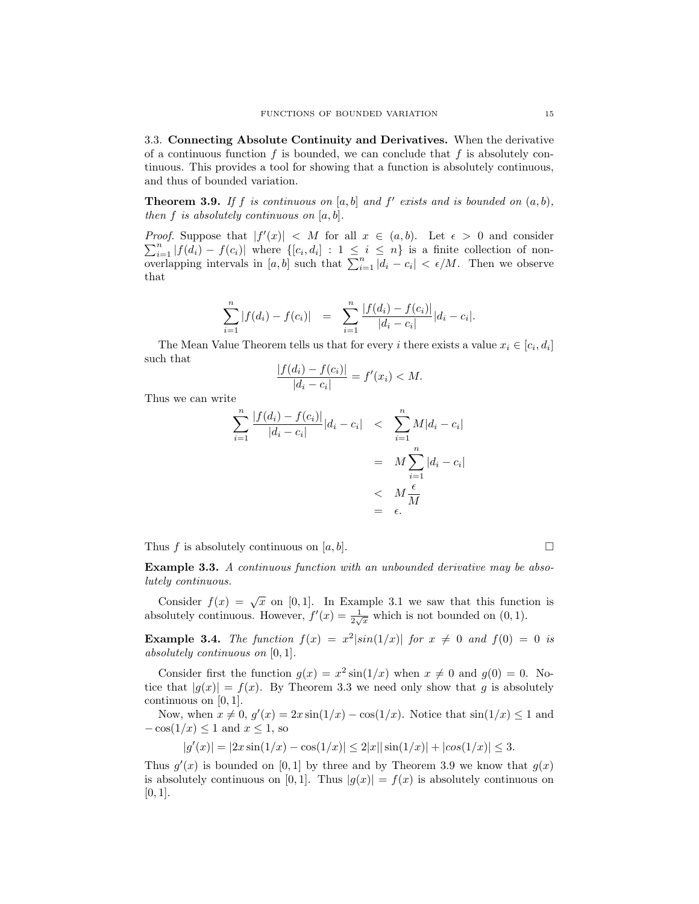3.3. Connecting Absolute Continuity and Derivatives. When the derivative of a continuous function f is bounded, we can conclude that f is absolutely continuous. This provides a tool for showing that a function is absolutely continuous, and thus of bounded variation.

**Theorem 3.9.** If f is continuous on  $[a, b]$  and  $f'$  exists and is bounded on  $(a, b)$ , then  $f$  is absolutely continuous on  $[a, b]$ .

*Proof.* Suppose that  $|f'(x)| < M$  for all  $x \in (a, b)$ . Let  $\epsilon > 0$  and consider  $\sum_{i=1}^{n} |f(d_i) - f(c_i)|$  where  $\{[c_i, d_i] : 1 \leq i \leq n\}$  is a finite collection of nonoverlapping intervals in [a, b] such that  $\sum_{i=1}^{n} |d_i - c_i| < \epsilon/M$ . Then we observe that

$$
\sum_{i=1}^{n} |f(d_i) - f(c_i)| = \sum_{i=1}^{n} \frac{|f(d_i) - f(c_i)|}{|d_i - c_i|} |d_i - c_i|.
$$

The Mean Value Theorem tells us that for every *i* there exists a value  $x_i \in [c_i, d_i]$ such that

$$
\frac{|f(d_i) - f(c_i)|}{|d_i - c_i|} = f'(x_i) < M.
$$

Thus we can write

$$
\sum_{i=1}^{n} \frac{|f(d_i) - f(c_i)|}{|d_i - c_i|} |d_i - c_i| < \sum_{i=1}^{n} M |d_i - c_i| \\
= M \sum_{i=1}^{n} |d_i - c_i| \\
\leq M \frac{\epsilon}{M} \\
= \epsilon.
$$

Thus f is absolutely continuous on  $[a, b]$ .

Example 3.3. A continuous function with an unbounded derivative may be absolutely continuous.

Consider  $f(x) = \sqrt{x}$  on [0, 1]. In Example 3.1 we saw that this function is absolutely continuous. However,  $f'(x) = \frac{1}{2\sqrt{x}}$  which is not bounded on  $(0, 1)$ .

**Example 3.4.** The function  $f(x) = x^2 |\sin(1/x)|$  for  $x \neq 0$  and  $f(0) = 0$  is absolutely continuous on [0, 1].

Consider first the function  $g(x) = x^2 \sin(1/x)$  when  $x \neq 0$  and  $g(0) = 0$ . Notice that  $|q(x)| = f(x)$ . By Theorem 3.3 we need only show that q is absolutely continuous on  $[0, 1]$ .

Now, when  $x \neq 0$ ,  $g'(x) = 2x \sin(1/x) - \cos(1/x)$ . Notice that  $\sin(1/x) \leq 1$  and  $-\cos(1/x) \leq 1$  and  $x \leq 1$ , so

 $|g'(x)| = |2x\sin(1/x) - \cos(1/x)| \le 2|x| |\sin(1/x)| + |\cos(1/x)| \le 3.$ 

Thus  $g'(x)$  is bounded on [0,1] by three and by Theorem 3.9 we know that  $g(x)$ is absolutely continuous on [0, 1]. Thus  $|g(x)| = f(x)$  is absolutely continuous on  $[0, 1]$ .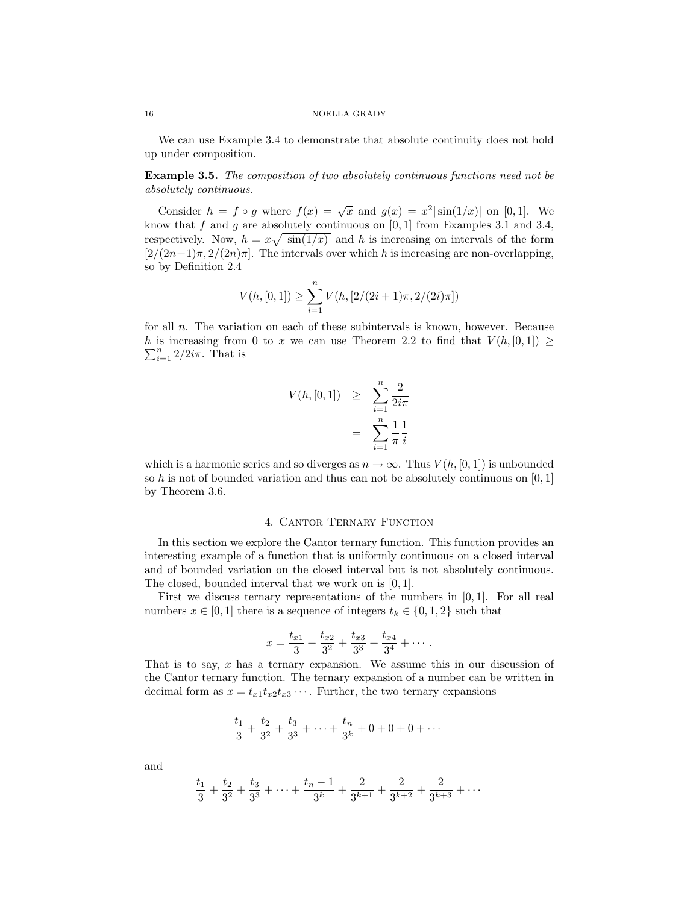We can use Example 3.4 to demonstrate that absolute continuity does not hold up under composition.

Example 3.5. The composition of two absolutely continuous functions need not be absolutely continuous.

Consider  $h = f \circ g$  where  $f(x) = \sqrt{x}$  and  $g(x) = x^2 |\sin(1/x)|$  on [0,1]. We know that  $f$  and  $g$  are absolutely continuous on  $[0, 1]$  from Examples 3.1 and 3.4, respectively. Now,  $h = x\sqrt{\sin(1/x)}$  and h is increasing on intervals of the form  $\left[\frac{2}{(2n+1)\pi}, \frac{2}{(2n)\pi}\right]$ . The intervals over which h is increasing are non-overlapping, so by Definition 2.4

$$
V(h, [0, 1]) \ge \sum_{i=1}^{n} V(h, [2/(2i+1)\pi, 2/(2i)\pi])
$$

for all  $n$ . The variation on each of these subintervals is known, however. Because  $\sum_{i=1}^{n} 2/2i\pi$ . That is h is increasing from 0 to x we can use Theorem 2.2 to find that  $V(h, [0, 1]) \ge$ 

$$
V(h, [0, 1]) \geq \sum_{i=1}^{n} \frac{2}{2i\pi}
$$

$$
= \sum_{i=1}^{n} \frac{1}{\pi} \frac{1}{i}
$$

which is a harmonic series and so diverges as  $n \to \infty$ . Thus  $V(h, [0, 1])$  is unbounded so h is not of bounded variation and thus can not be absolutely continuous on  $[0, 1]$ by Theorem 3.6.

# 4. CANTOR TERNARY FUNCTION

In this section we explore the Cantor ternary function. This function provides an interesting example of a function that is uniformly continuous on a closed interval and of bounded variation on the closed interval but is not absolutely continuous. The closed, bounded interval that we work on is [0, 1].

First we discuss ternary representations of the numbers in  $[0, 1]$ . For all real numbers  $x \in [0,1]$  there is a sequence of integers  $t_k \in \{0,1,2\}$  such that

$$
x = \frac{t_{x1}}{3} + \frac{t_{x2}}{3^2} + \frac{t_{x3}}{3^3} + \frac{t_{x4}}{3^4} + \cdots
$$

That is to say,  $x$  has a ternary expansion. We assume this in our discussion of the Cantor ternary function. The ternary expansion of a number can be written in decimal form as  $x = t_{x1}t_{x2}t_{x3}\cdots$ . Further, the two ternary expansions

$$
\frac{t_1}{3} + \frac{t_2}{3^2} + \frac{t_3}{3^3} + \dots + \frac{t_n}{3^k} + 0 + 0 + 0 + \dots
$$

and

$$
\frac{t_1}{3} + \frac{t_2}{3^2} + \frac{t_3}{3^3} + \dots + \frac{t_n - 1}{3^k} + \frac{2}{3^{k+1}} + \frac{2}{3^{k+2}} + \frac{2}{3^{k+3}} + \dots
$$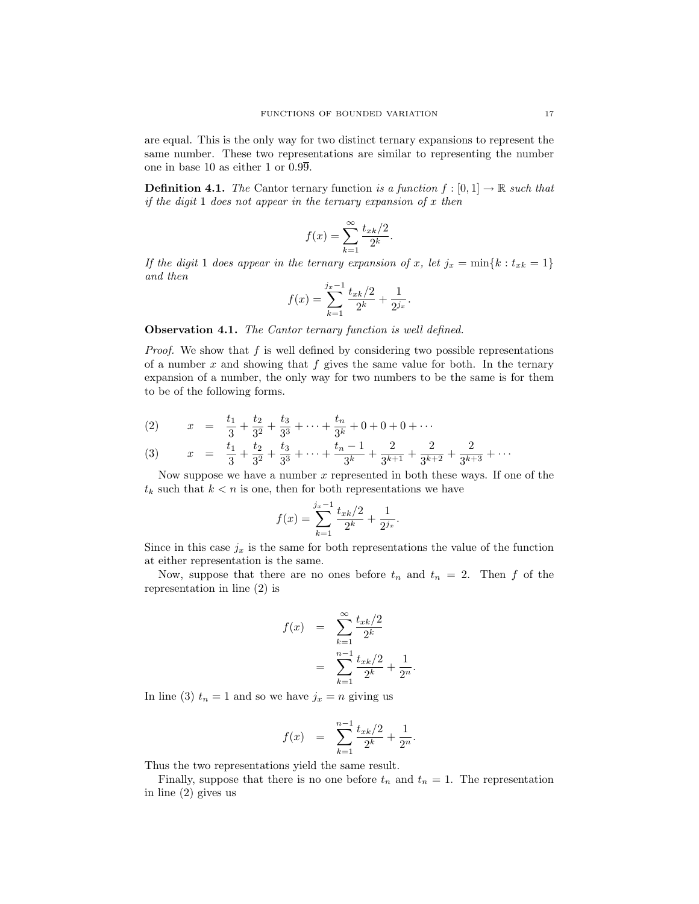are equal. This is the only way for two distinct ternary expansions to represent the same number. These two representations are similar to representing the number one in base 10 as either 1 or 0.99.

**Definition 4.1.** The Cantor ternary function is a function  $f : [0, 1] \rightarrow \mathbb{R}$  such that if the digit 1 does not appear in the ternary expansion of  $x$  then

$$
f(x) = \sum_{k=1}^{\infty} \frac{t_{xk}/2}{2^k}.
$$

If the digit 1 does appear in the ternary expansion of x, let  $j_x = \min\{k : t_{xk} = 1\}$ and then

$$
f(x) = \sum_{k=1}^{j_x - 1} \frac{t_{xk}/2}{2^k} + \frac{1}{2^{j_x}}.
$$

**Observation 4.1.** The Cantor ternary function is well defined.

*Proof.* We show that  $f$  is well defined by considering two possible representations of a number  $x$  and showing that  $f$  gives the same value for both. In the ternary expansion of a number, the only way for two numbers to be the same is for them to be of the following forms.

(2) 
$$
x = \frac{t_1}{3} + \frac{t_2}{3^2} + \frac{t_3}{3^3} + \dots + \frac{t_n}{3^k} + 0 + 0 + 0 + \dots
$$

(3) 
$$
x = \frac{t_1}{3} + \frac{t_2}{3^2} + \frac{t_3}{3^3} + \dots + \frac{t_n - 1}{3^k} + \frac{2}{3^{k+1}} + \frac{2}{3^{k+2}} + \frac{2}{3^{k+3}} + \dots
$$

Now suppose we have a number  $x$  represented in both these ways. If one of the  $t_k$  such that  $k < n$  is one, then for both representations we have

$$
f(x) = \sum_{k=1}^{j_x - 1} \frac{t_{xk}/2}{2^k} + \frac{1}{2^{j_x}}.
$$

Since in this case  $j_x$  is the same for both representations the value of the function at either representation is the same.

Now, suppose that there are no ones before  $t_n$  and  $t_n = 2$ . Then f of the representation in line (2) is

$$
f(x) = \sum_{k=1}^{\infty} \frac{t_{xk}/2}{2^k}
$$

$$
= \sum_{k=1}^{n-1} \frac{t_{xk}/2}{2^k} + \frac{1}{2^n}
$$

.

In line (3)  $t_n = 1$  and so we have  $j_x = n$  giving us

$$
f(x) = \sum_{k=1}^{n-1} \frac{t_{xk}/2}{2^k} + \frac{1}{2^n}.
$$

Thus the two representations yield the same result.

Finally, suppose that there is no one before  $t_n$  and  $t_n = 1$ . The representation in line (2) gives us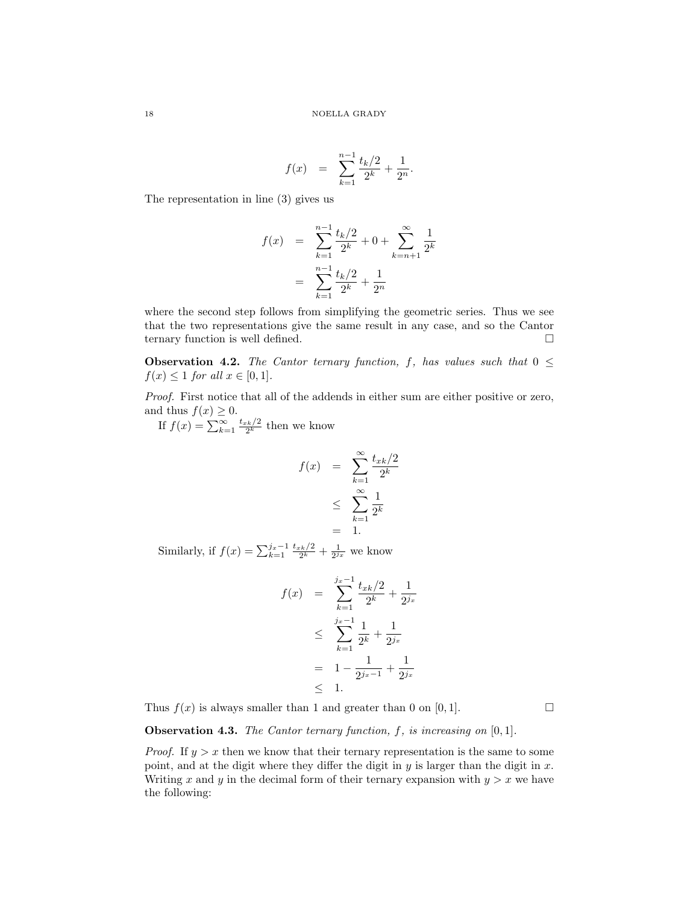$$
f(x) = \sum_{k=1}^{n-1} \frac{t_k/2}{2^k} + \frac{1}{2^n}.
$$

The representation in line (3) gives us

$$
f(x) = \sum_{k=1}^{n-1} \frac{t_k/2}{2^k} + 0 + \sum_{k=n+1}^{\infty} \frac{1}{2^k}
$$

$$
= \sum_{k=1}^{n-1} \frac{t_k/2}{2^k} + \frac{1}{2^n}
$$

where the second step follows from simplifying the geometric series. Thus we see that the two representations give the same result in any case, and so the Cantor ternary function is well defined.  $\hfill \square$ 

**Observation 4.2.** The Cantor ternary function, f, has values such that  $0 \leq$  $f(x) \leq 1$  for all  $x \in [0,1]$ .

Proof. First notice that all of the addends in either sum are either positive or zero, and thus  $f(x) \geq 0$ .

If  $f(x) = \sum_{k=1}^{\infty} \frac{t_{xk}/2}{2^k}$  then we know

$$
f(x) = \sum_{k=1}^{\infty} \frac{t_{xk}/2}{2^k}
$$
  

$$
\leq \sum_{k=1}^{\infty} \frac{1}{2^k}
$$
  

$$
= 1.
$$

Similarly, if  $f(x) = \sum_{k=1}^{j_x-1} \frac{t_{x_k/2}}{2^k} + \frac{1}{2^{j_x}}$  we know

$$
f(x) = \sum_{k=1}^{j_x - 1} \frac{t_{xk/2}}{2^k} + \frac{1}{2^{j_x}}
$$
  
\n
$$
\leq \sum_{k=1}^{j_x - 1} \frac{1}{2^k} + \frac{1}{2^{j_x}}
$$
  
\n
$$
= 1 - \frac{1}{2^{j_x - 1}} + \frac{1}{2^{j_x}}
$$
  
\n
$$
\leq 1.
$$

Thus  $f(x)$  is always smaller than 1 and greater than 0 on [0, 1].

**Observation 4.3.** The Cantor ternary function,  $f$ , is increasing on  $[0, 1]$ .

*Proof.* If  $y > x$  then we know that their ternary representation is the same to some point, and at the digit where they differ the digit in  $y$  is larger than the digit in  $x$ . Writing x and y in the decimal form of their ternary expansion with  $y > x$  we have the following: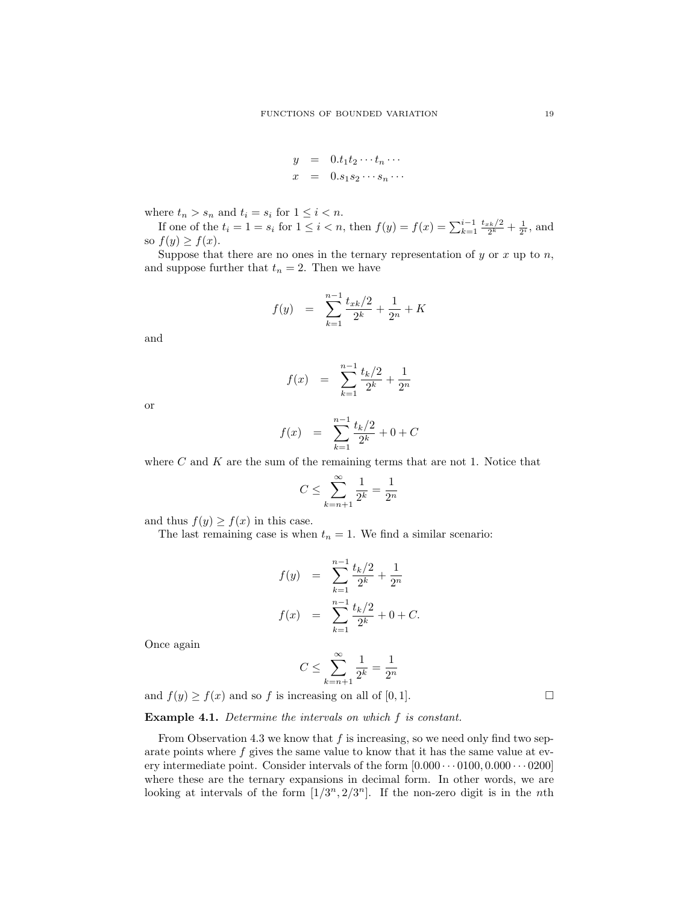$$
y = 0.t_1t_2 \cdots t_n \cdots
$$
  

$$
x = 0.s_1s_2 \cdots s_n \cdots
$$

where  $t_n > s_n$  and  $t_i = s_i$  for  $1 \leq i < n$ .

If one of the  $t_i = 1 = s_i$  for  $1 \leq i < n$ , then  $f(y) = f(x) = \sum_{k=1}^{i-1} \frac{t_{x_k/2}}{2^k} + \frac{1}{2^i}$ , and so  $f(y) \geq f(x)$ .

Suppose that there are no ones in the ternary representation of  $y$  or  $x$  up to  $n$ , and suppose further that  $t_n = 2$ . Then we have

$$
f(y) = \sum_{k=1}^{n-1} \frac{t_{xk}/2}{2^k} + \frac{1}{2^n} + K
$$

and

$$
f(x) = \sum_{k=1}^{n-1} \frac{t_k/2}{2^k} + \frac{1}{2^n}
$$

or

$$
f(x) = \sum_{k=1}^{n-1} \frac{t_k/2}{2^k} + 0 + C
$$

where  $C$  and  $K$  are the sum of the remaining terms that are not 1. Notice that

$$
C\leq \sum_{k=n+1}^\infty \frac{1}{2^k}=\frac{1}{2^n}
$$

and thus  $f(y) \ge f(x)$  in this case.

The last remaining case is when  $t_n = 1$ . We find a similar scenario:

$$
f(y) = \sum_{k=1}^{n-1} \frac{t_k/2}{2^k} + \frac{1}{2^n}
$$
  

$$
f(x) = \sum_{k=1}^{n-1} \frac{t_k/2}{2^k} + 0 + C.
$$

Once again

$$
C \le \sum_{k=n+1}^{\infty} \frac{1}{2^k} = \frac{1}{2^n}
$$

and  $f(y) \ge f(x)$  and so f is increasing on all of [0, 1].

Example 4.1. Determine the intervals on which f is constant.

From Observation 4.3 we know that  $f$  is increasing, so we need only find two separate points where f gives the same value to know that it has the same value at every intermediate point. Consider intervals of the form  $[0.000\cdots0100, 0.000\cdots0200]$ where these are the ternary expansions in decimal form. In other words, we are looking at intervals of the form  $[1/3^n, 2/3^n]$ . If the non-zero digit is in the nth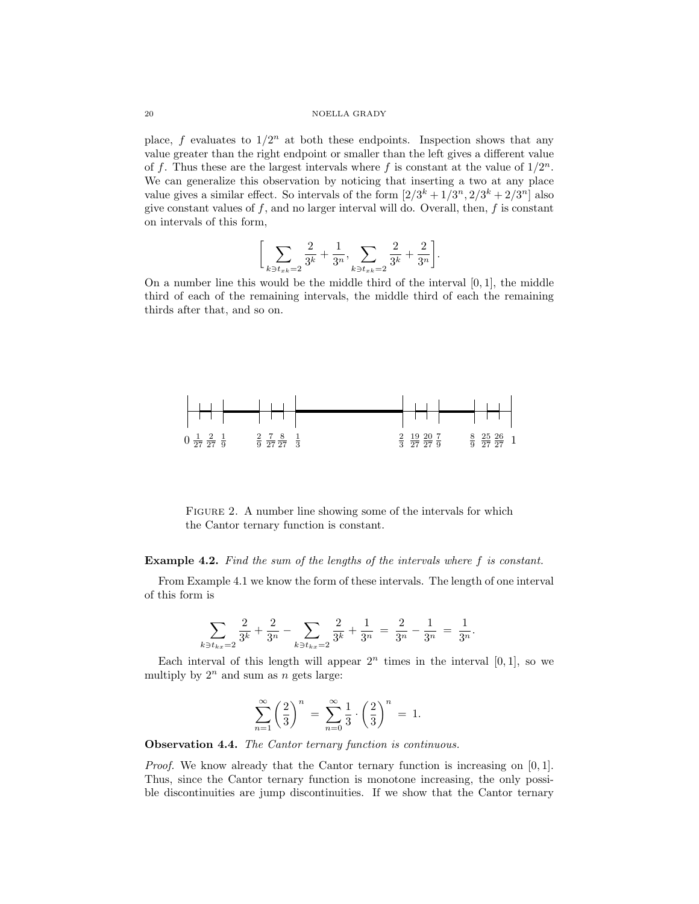# 20 NOELLA GRADY

place, f evaluates to  $1/2^n$  at both these endpoints. Inspection shows that any value greater than the right endpoint or smaller than the left gives a different value of f. Thus these are the largest intervals where f is constant at the value of  $1/2^n$ . We can generalize this observation by noticing that inserting a two at any place value gives a similar effect. So intervals of the form  $[2/3^k + 1/3^n, 2/3^k + 2/3^n]$  also give constant values of  $f$ , and no larger interval will do. Overall, then,  $f$  is constant on intervals of this form,

$$
\bigg[\sum_{k \ni t_{xk}=2} \frac{2}{3^k} + \frac{1}{3^n}, \sum_{k \ni t_{xk}=2} \frac{2}{3^k} + \frac{2}{3^n}\bigg].
$$

On a number line this would be the middle third of the interval  $[0, 1]$ , the middle third of each of the remaining intervals, the middle third of each the remaining thirds after that, and so on.



FIGURE 2. A number line showing some of the intervals for which the Cantor ternary function is constant.

## Example 4.2. Find the sum of the lengths of the intervals where f is constant.

From Example 4.1 we know the form of these intervals. The length of one interval of this form is

$$
\sum_{k \ni t_{k} = 2} \frac{2}{3^k} + \frac{2}{3^n} - \sum_{k \ni t_{k} = 2} \frac{2}{3^k} + \frac{1}{3^n} = \frac{2}{3^n} - \frac{1}{3^n} = \frac{1}{3^n}.
$$

Each interval of this length will appear  $2<sup>n</sup>$  times in the interval [0, 1], so we multiply by  $2^n$  and sum as n gets large:

$$
\sum_{n=1}^{\infty} \left(\frac{2}{3}\right)^n = \sum_{n=0}^{\infty} \frac{1}{3} \cdot \left(\frac{2}{3}\right)^n = 1.
$$

Observation 4.4. The Cantor ternary function is continuous.

Proof. We know already that the Cantor ternary function is increasing on [0, 1]. Thus, since the Cantor ternary function is monotone increasing, the only possible discontinuities are jump discontinuities. If we show that the Cantor ternary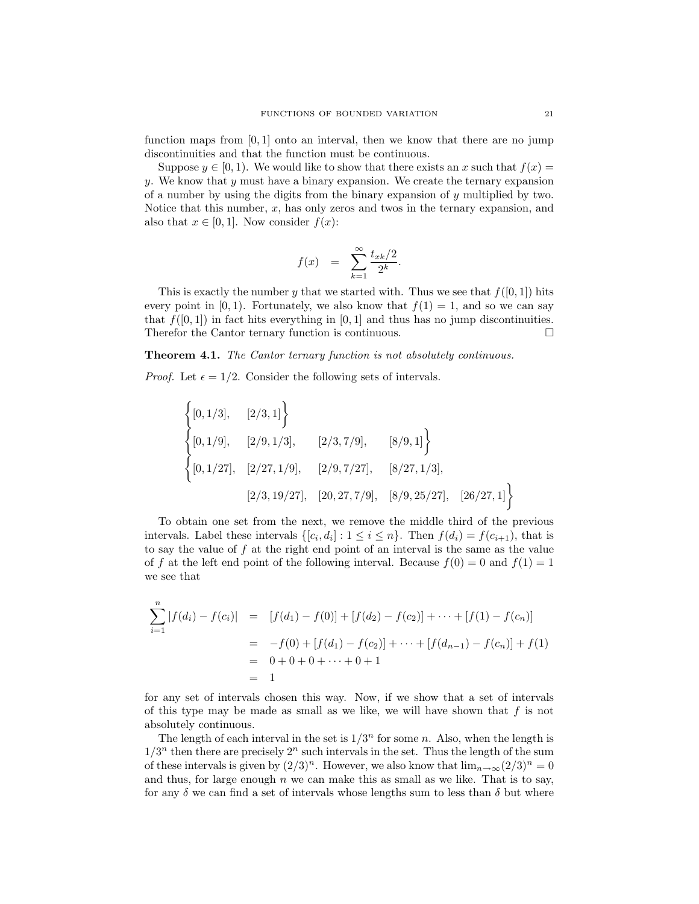function maps from  $[0, 1]$  onto an interval, then we know that there are no jump discontinuities and that the function must be continuous.

Suppose  $y \in [0, 1)$ . We would like to show that there exists an x such that  $f(x) =$  $y.$  We know that  $y$  must have a binary expansion. We create the ternary expansion of a number by using the digits from the binary expansion of  $y$  multiplied by two. Notice that this number,  $x$ , has only zeros and twos in the ternary expansion, and also that  $x \in [0,1]$ . Now consider  $f(x)$ :

$$
f(x) = \sum_{k=1}^{\infty} \frac{t_{xk}/2}{2^k}.
$$

This is exactly the number y that we started with. Thus we see that  $f([0, 1])$  hits every point in [0, 1]. Fortunately, we also know that  $f(1) = 1$ , and so we can say that  $f([0, 1])$  in fact hits everything in [0, 1] and thus has no jump discontinuities. Therefor the Cantor ternary function is continuous.

## Theorem 4.1. The Cantor ternary function is not absolutely continuous.

*Proof.* Let  $\epsilon = 1/2$ . Consider the following sets of intervals.

$$
\begin{cases}\n[0,1/3], & [2/3,1]\n\\ \n[0,1/9], & [2/9,1/3], & [2/3,7/9], & [8/9,1]\n\\ \n[0,1/27], & [2/27,1/9], & [2/9,7/27], & [8/27,1/3],\n\\ \n[2/3,19/27], & [20,27,7/9], & [8/9,25/27], & [26/27,1]\n\end{cases}
$$

To obtain one set from the next, we remove the middle third of the previous intervals. Label these intervals  $\{[c_i, d_i] : 1 \le i \le n\}$ . Then  $f(d_i) = f(c_{i+1})$ , that is to say the value of  $f$  at the right end point of an interval is the same as the value of f at the left end point of the following interval. Because  $f(0) = 0$  and  $f(1) = 1$ we see that

$$
\sum_{i=1}^{n} |f(d_i) - f(c_i)| = [f(d_1) - f(0)] + [f(d_2) - f(c_2)] + \dots + [f(1) - f(c_n)]
$$
  
=  $-f(0) + [f(d_1) - f(c_2)] + \dots + [f(d_{n-1}) - f(c_n)] + f(1)$   
=  $0 + 0 + 0 + \dots + 0 + 1$   
= 1

for any set of intervals chosen this way. Now, if we show that a set of intervals of this type may be made as small as we like, we will have shown that  $f$  is not absolutely continuous.

The length of each interval in the set is  $1/3^n$  for some n. Also, when the length is  $1/3^n$  then there are precisely  $2^n$  such intervals in the set. Thus the length of the sum of these intervals is given by  $(2/3)^n$ . However, we also know that  $\lim_{n\to\infty}(2/3)^n = 0$ and thus, for large enough  $n$  we can make this as small as we like. That is to say, for any  $\delta$  we can find a set of intervals whose lengths sum to less than  $\delta$  but where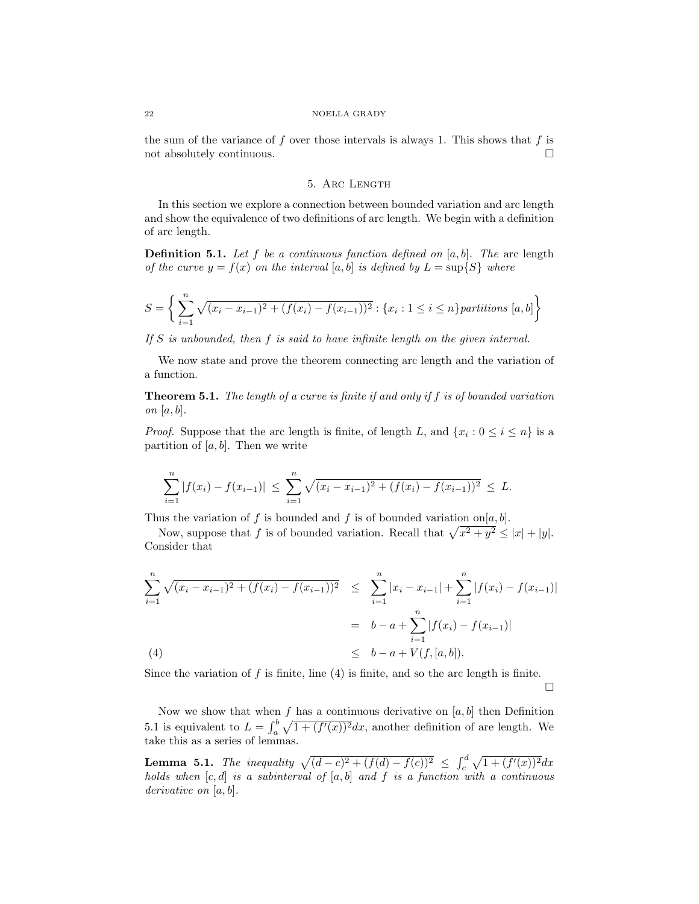#### 22 NOELLA GRADY

the sum of the variance of  $f$  over those intervals is always 1. This shows that  $f$  is not absolutely continuous.  $\Box$ 

## 5. ARC LENGTH

In this section we explore a connection between bounded variation and arc length and show the equivalence of two definitions of arc length. We begin with a definition of arc length.

**Definition 5.1.** Let f be a continuous function defined on  $[a, b]$ . The arc length of the curve  $y = f(x)$  on the interval [a, b] is defined by  $L = \sup\{S\}$  where

$$
S = \left\{ \sum_{i=1}^{n} \sqrt{(x_i - x_{i-1})^2 + (f(x_i) - f(x_{i-1}))^2} : \{x_i : 1 \le i \le n\} \text{ partitions } [a, b] \right\}
$$

If  $S$  is unbounded, then  $f$  is said to have infinite length on the given interval.

We now state and prove the theorem connecting arc length and the variation of a function.

**Theorem 5.1.** The length of a curve is finite if and only if  $f$  is of bounded variation on  $[a, b]$ .

*Proof.* Suppose that the arc length is finite, of length L, and  $\{x_i : 0 \le i \le n\}$  is a partition of  $[a, b]$ . Then we write

$$
\sum_{i=1}^{n} |f(x_i) - f(x_{i-1})| \leq \sum_{i=1}^{n} \sqrt{(x_i - x_{i-1})^2 + (f(x_i) - f(x_{i-1}))^2} \leq L.
$$

Thus the variation of f is bounded and f is of bounded variation on  $[a, b]$ .

Now, suppose that f is of bounded variation. Recall that  $\sqrt{x^2 + y^2} \le |x| + |y|$ . Consider that

$$
\sum_{i=1}^{n} \sqrt{(x_i - x_{i-1})^2 + (f(x_i) - f(x_{i-1}))^2} \leq \sum_{i=1}^{n} |x_i - x_{i-1}| + \sum_{i=1}^{n} |f(x_i) - f(x_{i-1})|
$$
  
=  $b - a + \sum_{i=1}^{n} |f(x_i) - f(x_{i-1})|$   
(4)  
 $\leq b - a + V(f, [a, b]).$ 

Since the variation of  $f$  is finite, line  $(4)$  is finite, and so the arc length is finite.  $\Box$ 

Now we show that when  $f$  has a continuous derivative on  $[a, b]$  then Definition 5.1 is equivalent to  $L = \int_a^b \sqrt{1 + (f'(x))^2} dx$ , another definition of are length. We take this as a series of lemmas.

**Lemma 5.1.** The inequality  $\sqrt{(d-c)^2 + (f(d) - f(c))^2} \leq \int_c^d \sqrt{1 + (f'(x))^2} dx$ holds when  $[c, d]$  is a subinterval of  $[a, b]$  and f is a function with a continuous derivative on [a, b].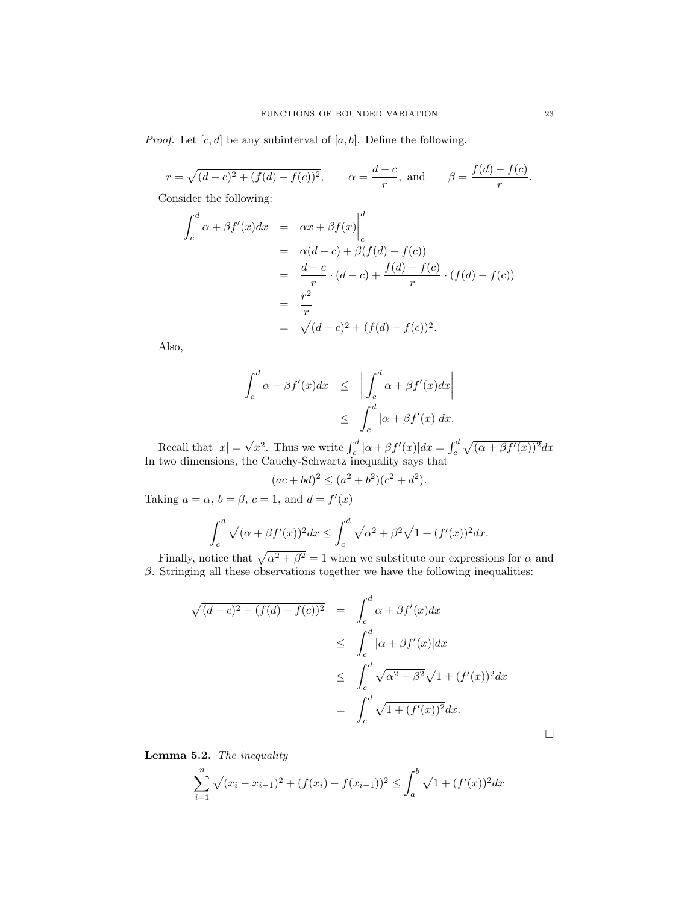*Proof.* Let  $[c, d]$  be any subinterval of  $[a, b]$ . Define the following.

$$
r = \sqrt{(d-c)^2 + (f(d) - f(c))^2}
$$
,  $\alpha = \frac{d-c}{r}$ , and  $\beta = \frac{f(d) - f(c)}{r}$ .

Consider the following:

$$
\int_{c}^{d} \alpha + \beta f'(x) dx = \alpha x + \beta f(x) \Big|_{c}^{d}
$$
  
=  $\alpha(d-c) + \beta(f(d) - f(c))$   
=  $\frac{d-c}{r} \cdot (d-c) + \frac{f(d) - f(c)}{r} \cdot (f(d) - f(c))$   
=  $\frac{r^{2}}{r}$   
=  $\sqrt{(d-c)^{2} + (f(d) - f(c))^{2}}$ .

Also,

$$
\int_{c}^{d} \alpha + \beta f'(x) dx \leq \left| \int_{c}^{d} \alpha + \beta f'(x) dx \right|
$$
  

$$
\leq \int_{c}^{d} |\alpha + \beta f'(x)| dx.
$$

Recall that  $|x| =$ √  $\overline{x^2}$ . Thus we write  $\int_c^d |\alpha + \beta f'(x)| dx = \int_c^d \sqrt{(\alpha + \beta f'(x))^2} dx$ In two dimensions, the Cauchy-Schwartz inequality says that

$$
(ac+bd)^2 \le (a^2+b^2)(c^2+d^2).
$$

Taking  $a = \alpha$ ,  $b = \beta$ ,  $c = 1$ , and  $d = f'(x)$ 

$$
\int_c^d \sqrt{(\alpha + \beta f'(x))^2} dx \le \int_c^d \sqrt{\alpha^2 + \beta^2} \sqrt{1 + (f'(x))^2} dx.
$$

Finally, notice that  $\sqrt{\alpha^2 + \beta^2} = 1$  when we substitute our expressions for  $\alpha$  and  $β$ . Stringing all these observations together we have the following inequalities:

$$
\sqrt{(d-c)^2 + (f(d) - f(c))^2} = \int_c^d \alpha + \beta f'(x) dx
$$
  
\n
$$
\leq \int_c^d |\alpha + \beta f'(x)| dx
$$
  
\n
$$
\leq \int_c^d \sqrt{\alpha^2 + \beta^2} \sqrt{1 + (f'(x))^2} dx
$$
  
\n
$$
= \int_c^d \sqrt{1 + (f'(x))^2} dx.
$$

Lemma 5.2. The inequality

$$
\sum_{i=1}^{n} \sqrt{(x_i - x_{i-1})^2 + (f(x_i) - f(x_{i-1}))^2} \le \int_a^b \sqrt{1 + (f'(x))^2} dx
$$

 $\Box$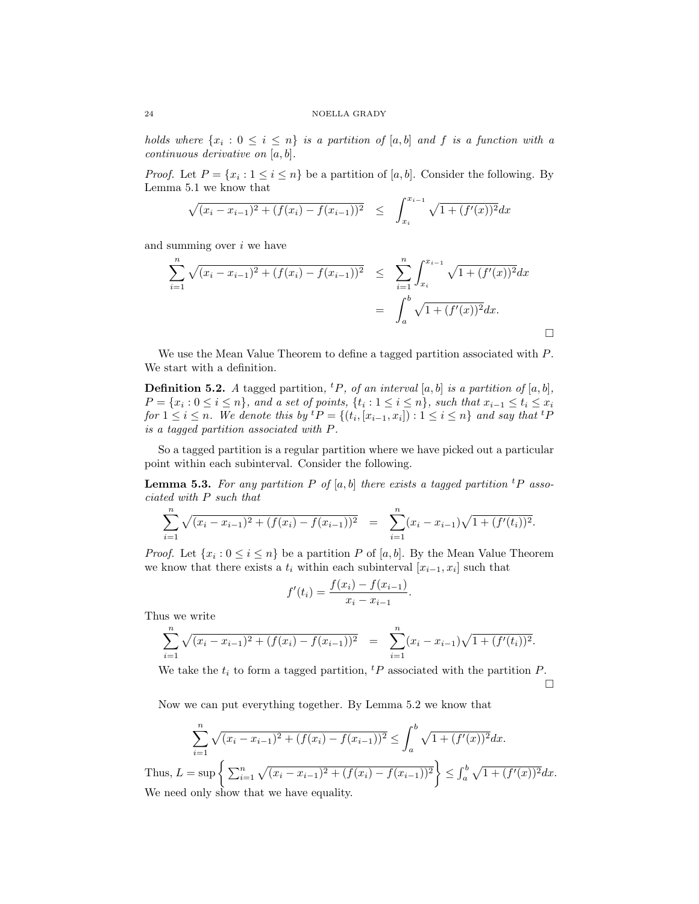holds where  $\{x_i : 0 \le i \le n\}$  is a partition of  $[a, b]$  and f is a function with a continuous derivative on [a, b].

*Proof.* Let  $P = \{x_i : 1 \le i \le n\}$  be a partition of [a, b]. Consider the following. By Lemma 5.1 we know that

$$
\sqrt{(x_i - x_{i-1})^2 + (f(x_i) - f(x_{i-1}))^2} \le \int_{x_i}^{x_{i-1}} \sqrt{1 + (f'(x))^2} dx
$$

and summing over  $i$  we have

$$
\sum_{i=1}^{n} \sqrt{(x_i - x_{i-1})^2 + (f(x_i) - f(x_{i-1}))^2} \leq \sum_{i=1}^{n} \int_{x_i}^{x_{i-1}} \sqrt{1 + (f'(x))^2} dx
$$

$$
= \int_a^b \sqrt{1 + (f'(x))^2} dx.
$$

We use the Mean Value Theorem to define a tagged partition associated with P. We start with a definition.

**Definition 5.2.** A tagged partition, <sup>t</sup>P, of an interval [a, b] is a partition of [a, b],  $P = \{x_i : 0 \le i \le n\}$ , and a set of points,  $\{t_i : 1 \le i \le n\}$ , such that  $x_{i-1} \le t_i \le x_i$ for  $1 \leq i \leq n$ . We denote this by  ${}^t P = \{(t_i, [x_{i-1}, x_i]) : 1 \leq i \leq n\}$  and say that  ${}^t P$ is a tagged partition associated with P.

So a tagged partition is a regular partition where we have picked out a particular point within each subinterval. Consider the following.

**Lemma 5.3.** For any partition P of [a, b] there exists a tagged partition <sup>t</sup>P associated with P such that

$$
\sum_{i=1}^{n} \sqrt{(x_i - x_{i-1})^2 + (f(x_i) - f(x_{i-1}))^2} = \sum_{i=1}^{n} (x_i - x_{i-1})\sqrt{1 + (f'(t_i))^2}.
$$

*Proof.* Let  $\{x_i : 0 \le i \le n\}$  be a partition P of [a, b]. By the Mean Value Theorem we know that there exists a  $t_i$  within each subinterval  $[x_{i-1}, x_i]$  such that

$$
f'(t_i) = \frac{f(x_i) - f(x_{i-1})}{x_i - x_{i-1}}.
$$

Thus we write

$$
\sum_{i=1}^{n} \sqrt{(x_i - x_{i-1})^2 + (f(x_i) - f(x_{i-1}))^2} = \sum_{i=1}^{n} (x_i - x_{i-1})\sqrt{1 + (f'(t_i))^2}.
$$

We take the  $t_i$  to form a tagged partition,  $tP$  associated with the partition  $P$ .  $\Box$ 

Now we can put everything together. By Lemma 5.2 we know that

$$
\sum_{i=1}^{n} \sqrt{(x_i - x_{i-1})^2 + (f(x_i) - f(x_{i-1}))^2} \le \int_a^b \sqrt{1 + (f'(x))^2} dx.
$$

Thus,  $L = \sup \left\{ \sum_{i=1}^n \sqrt{(x_i - x_{i-1})^2 + (f(x_i) - f(x_{i-1}))^2} \right\} \leq \int_a^b \sqrt{1 + (f'(x))^2} dx$ . We need only show that we have equality.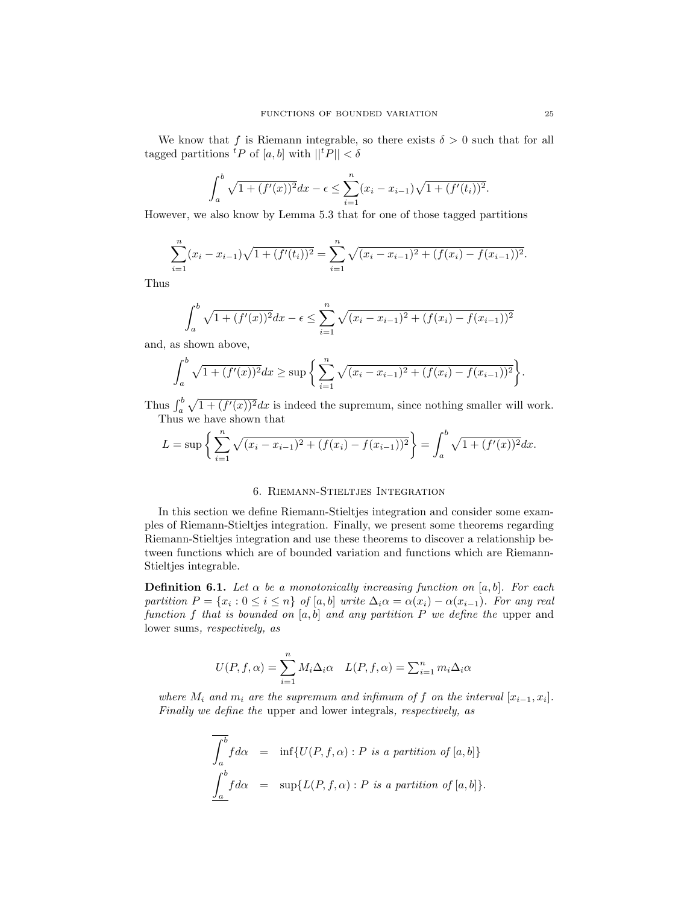We know that f is Riemann integrable, so there exists  $\delta > 0$  such that for all tagged partitions  ${}^{t}P$  of [a, b] with  $||{}^{t}P|| < \delta$ 

$$
\int_a^b \sqrt{1 + (f'(x))^2} dx - \epsilon \le \sum_{i=1}^n (x_i - x_{i-1})\sqrt{1 + (f'(t_i))^2}.
$$

However, we also know by Lemma 5.3 that for one of those tagged partitions

$$
\sum_{i=1}^{n} (x_i - x_{i-1}) \sqrt{1 + (f'(t_i))^2} = \sum_{i=1}^{n} \sqrt{(x_i - x_{i-1})^2 + (f(x_i) - f(x_{i-1}))^2}.
$$

Thus

$$
\int_a^b \sqrt{1 + (f'(x))^2} dx - \epsilon \le \sum_{i=1}^n \sqrt{(x_i - x_{i-1})^2 + (f(x_i) - f(x_{i-1}))^2}
$$

and, as shown above,

$$
\int_a^b \sqrt{1 + (f'(x))^2} dx \ge \sup \left\{ \sum_{i=1}^n \sqrt{(x_i - x_{i-1})^2 + (f(x_i) - f(x_{i-1}))^2} \right\}.
$$

Thus  $\int_a^b \sqrt{1 + (f'(x))^2} dx$  is indeed the supremum, since nothing smaller will work. Thus we have shown that

$$
L = \sup \left\{ \sum_{i=1}^{n} \sqrt{(x_i - x_{i-1})^2 + (f(x_i) - f(x_{i-1}))^2} \right\} = \int_a^b \sqrt{1 + (f'(x))^2} dx.
$$

## 6. Riemann-Stieltjes Integration

In this section we define Riemann-Stieltjes integration and consider some examples of Riemann-Stieltjes integration. Finally, we present some theorems regarding Riemann-Stieltjes integration and use these theorems to discover a relationship between functions which are of bounded variation and functions which are Riemann-Stieltjes integrable.

**Definition 6.1.** Let  $\alpha$  be a monotonically increasing function on [a, b]. For each partition  $P = \{x_i : 0 \le i \le n\}$  of  $[a, b]$  write  $\Delta_i \alpha = \alpha(x_i) - \alpha(x_{i-1})$ . For any real function f that is bounded on  $[a, b]$  and any partition P we define the upper and lower sums, respectively, as

$$
U(P, f, \alpha) = \sum_{i=1}^{n} M_i \Delta_i \alpha \quad L(P, f, \alpha) = \sum_{i=1}^{n} m_i \Delta_i \alpha
$$

where  $M_i$  and  $m_i$  are the supremum and infimum of f on the interval  $[x_{i-1}, x_i]$ . Finally we define the upper and lower integrals, respectively, as

$$
\overline{\int_a^b} f d\alpha = \inf \{ U(P, f, \alpha) : P \text{ is a partition of } [a, b] \}
$$

$$
\underline{\int_a^b} f d\alpha = \sup \{ L(P, f, \alpha) : P \text{ is a partition of } [a, b] \}.
$$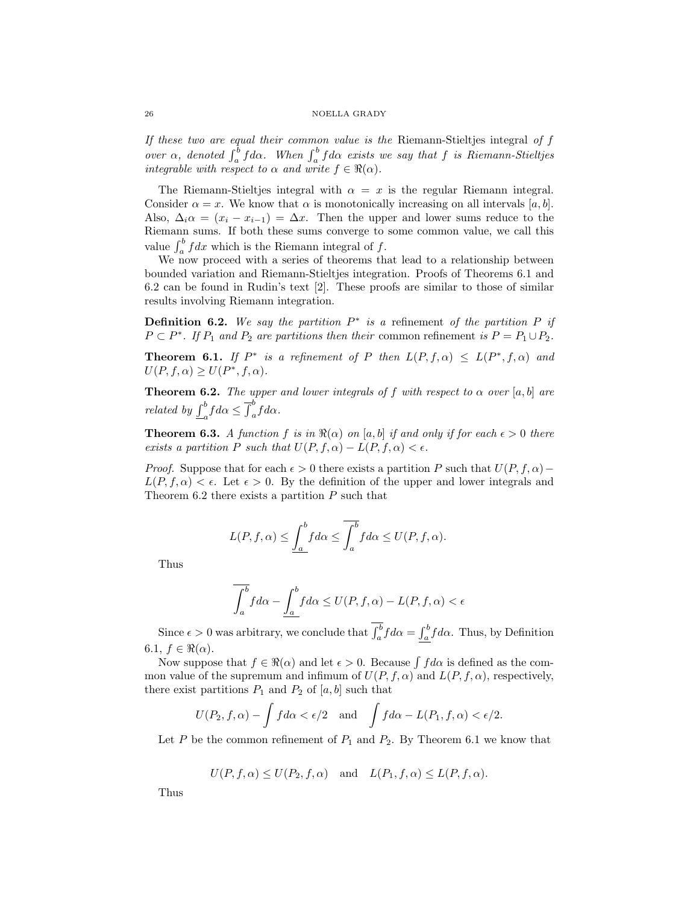If these two are equal their common value is the Riemann-Stieltjes integral of f over  $\alpha$ , denoted  $\int_a^b f d\alpha$ . When  $\int_a^b f d\alpha$  exists we say that f is Riemann-Stieltjes integrable with respect to  $\alpha$  and write  $f \in \Re(\alpha)$ .

The Riemann-Stieltjes integral with  $\alpha = x$  is the regular Riemann integral. Consider  $\alpha = x$ . We know that  $\alpha$  is monotonically increasing on all intervals [a, b]. Also,  $\Delta_i \alpha = (x_i - x_{i-1}) = \Delta x$ . Then the upper and lower sums reduce to the Riemann sums. If both these sums converge to some common value, we call this value  $\int_a^b f dx$  which is the Riemann integral of f.

We now proceed with a series of theorems that lead to a relationship between bounded variation and Riemann-Stieltjes integration. Proofs of Theorems 6.1 and 6.2 can be found in Rudin's text [2]. These proofs are similar to those of similar results involving Riemann integration.

**Definition 6.2.** We say the partition  $P^*$  is a refinement of the partition P if  $P \subset P^*$ . If  $P_1$  and  $P_2$  are partitions then their common refinement is  $P = P_1 \cup P_2$ .

**Theorem 6.1.** If  $P^*$  is a refinement of P then  $L(P, f, \alpha) \leq L(P^*, f, \alpha)$  and  $U(P, f, \alpha) \geq U(P^*, f, \alpha).$ 

**Theorem 6.2.** The upper and lower integrals of f with respect to  $\alpha$  over [a, b] are related by  $\int_{-a}^{b} f d\alpha \leq \overline{\int}_{a}^{b} f d\alpha$ .

**Theorem 6.3.** A function f is in  $\Re(\alpha)$  on [a, b] if and only if for each  $\epsilon > 0$  there exists a partition P such that  $U(P, f, \alpha) - L(P, f, \alpha) < \epsilon$ .

*Proof.* Suppose that for each  $\epsilon > 0$  there exists a partition P such that  $U(P, f, \alpha)$  –  $L(P, f, \alpha) < \epsilon$ . Let  $\epsilon > 0$ . By the definition of the upper and lower integrals and Theorem 6.2 there exists a partition  $P$  such that

$$
L(P, f, \alpha) \le \underline{\int_a^b} f d\alpha \le \overline{\int_a^b} f d\alpha \le U(P, f, \alpha).
$$

Thus

$$
\overline{\int_a^b} f d\alpha - \underline{\int_a^b} f d\alpha \le U(P, f, \alpha) - L(P, f, \alpha) < \epsilon
$$

Since  $\epsilon > 0$  was arbitrary, we conclude that  $\int_a^b f d\alpha = \int_a^b f d\alpha$ . Thus, by Definition 6.1,  $f \in \Re(\alpha)$ .

Now suppose that  $f \in \Re(\alpha)$  and let  $\epsilon > 0$ . Because  $\int f d\alpha$  is defined as the common value of the supremum and infimum of  $U(P, f, \alpha)$  and  $L(P, f, \alpha)$ , respectively, there exist partitions  $P_1$  and  $P_2$  of  $[a, b]$  such that

$$
U(P_2, f, \alpha) - \int f d\alpha < \epsilon/2
$$
 and  $\int f d\alpha - L(P_1, f, \alpha) < \epsilon/2$ .

Let P be the common refinement of  $P_1$  and  $P_2$ . By Theorem 6.1 we know that

$$
U(P, f, \alpha) \le U(P_2, f, \alpha)
$$
 and  $L(P_1, f, \alpha) \le L(P, f, \alpha)$ .

Thus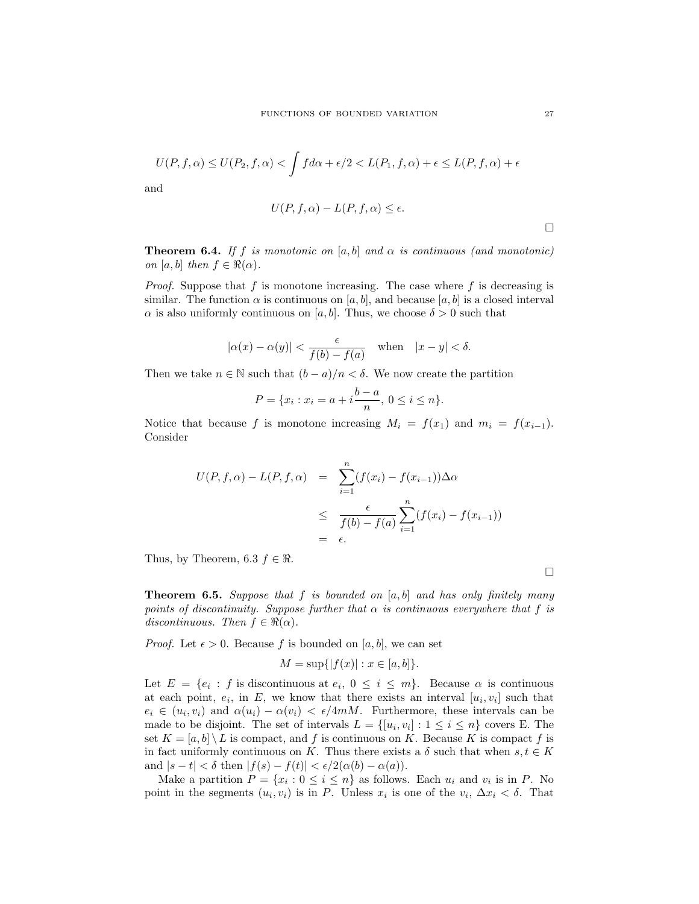$$
U(P, f, \alpha) \le U(P_2, f, \alpha) < \int f d\alpha + \epsilon/2 < L(P_1, f, \alpha) + \epsilon \le L(P, f, \alpha) + \epsilon
$$
\nand

\n
$$
U(P, f, \alpha) - L(P, f, \alpha) \le \epsilon.
$$

a

**Theorem 6.4.** If f is monotonic on [a, b] and 
$$
\alpha
$$
 is continuous (and monotonic) on [a, b] then  $f \in \mathbb{R}(\alpha)$ .

*Proof.* Suppose that f is monotone increasing. The case where f is decreasing is similar. The function  $\alpha$  is continuous on [a, b], and because [a, b] is a closed interval  $\alpha$  is also uniformly continuous on [a, b]. Thus, we choose  $\delta > 0$  such that

$$
|\alpha(x) - \alpha(y)| < \frac{\epsilon}{f(b) - f(a)}
$$
 when  $|x - y| < \delta$ .

Then we take  $n \in \mathbb{N}$  such that  $(b - a)/n < \delta$ . We now create the partition

$$
P = \{x_i : x_i = a + i \frac{b - a}{n}, \ 0 \le i \le n\}.
$$

Notice that because f is monotone increasing  $M_i = f(x_1)$  and  $m_i = f(x_{i-1})$ . Consider

$$
U(P, f, \alpha) - L(P, f, \alpha) = \sum_{i=1}^{n} (f(x_i) - f(x_{i-1})) \Delta \alpha
$$
  

$$
\leq \frac{\epsilon}{f(b) - f(a)} \sum_{i=1}^{n} (f(x_i) - f(x_{i-1}))
$$
  

$$
= \epsilon.
$$

Thus, by Theorem, 6.3  $f \in \Re$ .

**Theorem 6.5.** Suppose that f is bounded on  $[a, b]$  and has only finitely many points of discontinuity. Suppose further that  $\alpha$  is continuous everywhere that f is discontinuous. Then  $f \in \Re(\alpha)$ .

*Proof.* Let  $\epsilon > 0$ . Because f is bounded on [a, b], we can set

$$
M = \sup\{|f(x)| : x \in [a, b]\}.
$$

Let  $E = \{e_i : f \text{ is discontinuous at } e_i, 0 \leq i \leq m\}$ . Because  $\alpha$  is continuous at each point,  $e_i$ , in E, we know that there exists an interval  $[u_i, v_i]$  such that  $e_i \in (u_i, v_i)$  and  $\alpha(u_i) - \alpha(v_i) < \epsilon/4mM$ . Furthermore, these intervals can be made to be disjoint. The set of intervals  $L = \{ [u_i, v_i] : 1 \le i \le n \}$  covers E. The set  $K = [a, b] \setminus L$  is compact, and f is continuous on K. Because K is compact f is in fact uniformly continuous on K. Thus there exists a  $\delta$  such that when  $s, t \in K$ and  $|s-t| < \delta$  then  $|f(s) - f(t)| < \epsilon/2(\alpha(b) - \alpha(a))$ .

Make a partition  $P = \{x_i : 0 \le i \le n\}$  as follows. Each  $u_i$  and  $v_i$  is in P. No point in the segments  $(u_i, v_i)$  is in P. Unless  $x_i$  is one of the  $v_i$ ,  $\Delta x_i < \delta$ . That

 $\Box$ 

 $\Box$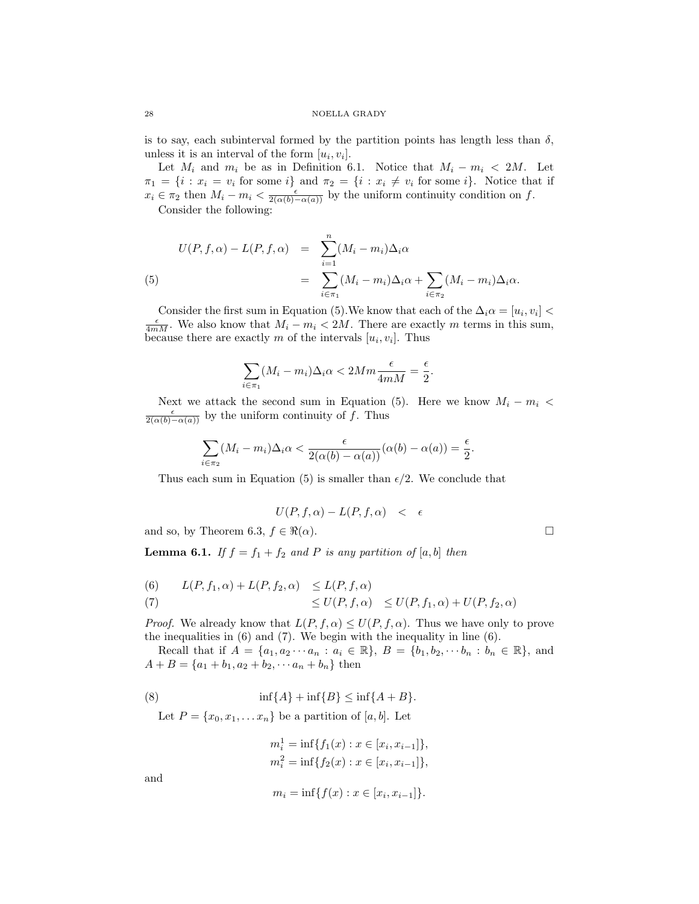is to say, each subinterval formed by the partition points has length less than  $\delta$ , unless it is an interval of the form  $[u_i, v_i]$ .

Let  $M_i$  and  $m_i$  be as in Definition 6.1. Notice that  $M_i - m_i < 2M$ . Let  $\pi_1 = \{i : x_i = v_i \text{ for some } i\}$  and  $\pi_2 = \{i : x_i \neq v_i \text{ for some } i\}.$  Notice that if  $x_i \in \pi_2$  then  $M_i - m_i < \frac{\epsilon}{2(\alpha(b) - \alpha(a))}$  by the uniform continuity condition on f.

Consider the following:

(5)  

$$
U(P, f, \alpha) - L(P, f, \alpha) = \sum_{i=1}^{n} (M_i - m_i) \Delta_i \alpha
$$

$$
= \sum_{i \in \pi_1} (M_i - m_i) \Delta_i \alpha + \sum_{i \in \pi_2} (M_i - m_i) \Delta_i \alpha.
$$

Consider the first sum in Equation (5). We know that each of the  $\Delta_i \alpha = [u_i, v_i]$  $\frac{\epsilon}{4mM}$ . We also know that  $M_i - m_i < 2M$ . There are exactly m terms in this sum, because there are exactly m of the intervals  $[u_i, v_i]$ . Thus

$$
\sum_{i \in \pi_1} (M_i - m_i) \Delta_i \alpha < 2Mm \frac{\epsilon}{4mM} = \frac{\epsilon}{2}.
$$

Next we attack the second sum in Equation (5). Here we know  $M_i - m_i$  $\frac{\epsilon}{2(\alpha(b)-\alpha(a))}$  by the uniform continuity of f. Thus

$$
\sum_{i \in \pi_2} (M_i - m_i) \Delta_i \alpha < \frac{\epsilon}{2(\alpha(b) - \alpha(a))} (\alpha(b) - \alpha(a)) = \frac{\epsilon}{2}.
$$

Thus each sum in Equation (5) is smaller than  $\epsilon/2$ . We conclude that

$$
U(P, f, \alpha) - L(P, f, \alpha) < \epsilon
$$

and so, by Theorem 6.3,  $f \in \Re(\alpha)$ .

**Lemma 6.1.** If  $f = f_1 + f_2$  and P is any partition of [a, b] then

(6) 
$$
L(P, f_1, \alpha) + L(P, f_2, \alpha) \leq L(P, f, \alpha)
$$
  
\n
$$
\leq U(P, f, \alpha) \leq U(P, f_1, \alpha) + U(P, f_2, \alpha)
$$

*Proof.* We already know that  $L(P, f, \alpha) \leq U(P, f, \alpha)$ . Thus we have only to prove the inequalities in (6) and (7). We begin with the inequality in line (6).

Recall that if  $A = \{a_1, a_2 \cdots a_n : a_i \in \mathbb{R}\}, B = \{b_1, b_2, \cdots b_n : b_n \in \mathbb{R}\},\$ and  $A + B = \{a_1 + b_1, a_2 + b_2, \cdots a_n + b_n\}$  then

$$
(8) \qquad \qquad \inf\{A\} + \inf\{B\} \le \inf\{A + B\}.
$$

Let  $P = \{x_0, x_1, \ldots, x_n\}$  be a partition of  $[a, b]$ . Let

$$
m_i^1 = \inf\{f_1(x) : x \in [x_i, x_{i-1}]\},
$$
  

$$
m_i^2 = \inf\{f_2(x) : x \in [x_i, x_{i-1}]\},
$$

and

$$
m_i = \inf\{f(x) : x \in [x_i, x_{i-1}]\}.
$$

$$
\Box
$$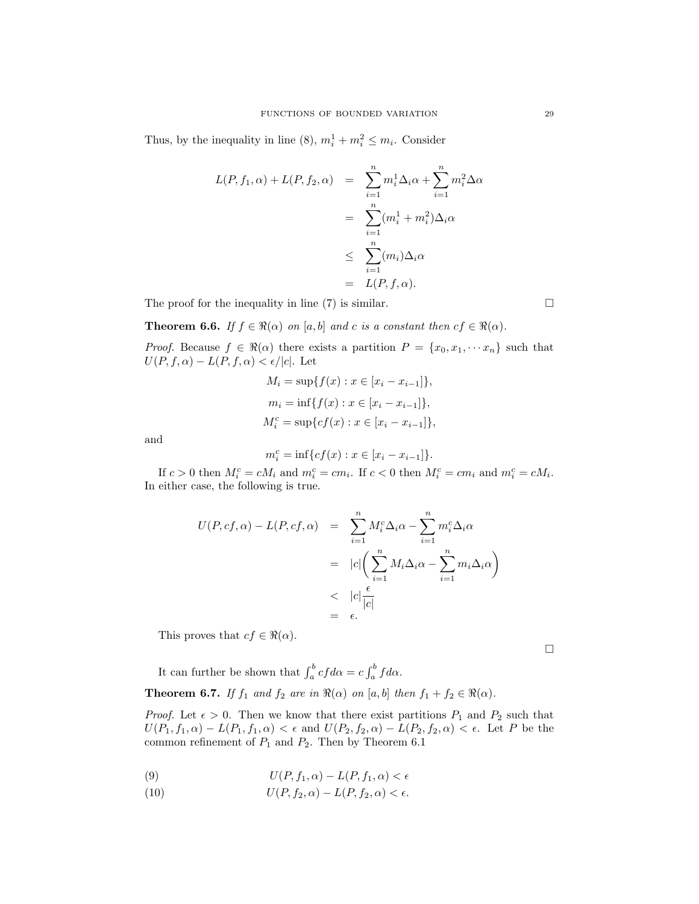Thus, by the inequality in line (8),  $m_i^1 + m_i^2 \le m_i$ . Consider

$$
L(P, f_1, \alpha) + L(P, f_2, \alpha) = \sum_{i=1}^n m_i^1 \Delta_i \alpha + \sum_{i=1}^n m_i^2 \Delta \alpha
$$
  

$$
= \sum_{i=1}^n (m_i^1 + m_i^2) \Delta_i \alpha
$$
  

$$
\leq \sum_{i=1}^n (m_i) \Delta_i \alpha
$$
  

$$
= L(P, f, \alpha).
$$

The proof for the inequality in line  $(7)$  is similar.

**Theorem 6.6.** If  $f \in \Re(\alpha)$  on [a, b] and c is a constant then  $cf \in \Re(\alpha)$ .

*Proof.* Because  $f \in \Re(\alpha)$  there exists a partition  $P = \{x_0, x_1, \dots, x_n\}$  such that  $U(P, f, \alpha) - L(P, f, \alpha) < \epsilon / |c|$ . Let

$$
M_i = \sup\{f(x) : x \in [x_i - x_{i-1}]\},\
$$
  

$$
m_i = \inf\{f(x) : x \in [x_i - x_{i-1}]\},\
$$
  

$$
M_i^c = \sup\{cf(x) : x \in [x_i - x_{i-1}]\},\
$$

and

$$
m_i^c = \inf \{ cf(x) : x \in [x_i - x_{i-1}] \}.
$$

If  $c > 0$  then  $M_i^c = cM_i$  and  $m_i^c = cm_i$ . If  $c < 0$  then  $M_i^c = cm_i$  and  $m_i^c = cM_i$ . In either case, the following is true.

$$
U(P, cf, \alpha) - L(P, cf, \alpha) = \sum_{i=1}^{n} M_i^c \Delta_i \alpha - \sum_{i=1}^{n} m_i^c \Delta_i \alpha
$$
  

$$
= |c| \left( \sum_{i=1}^{n} M_i \Delta_i \alpha - \sum_{i=1}^{n} m_i \Delta_i \alpha \right)
$$
  

$$
< |c| \frac{\epsilon}{|c|}
$$
  

$$
= \epsilon.
$$

This proves that  $cf \in \Re(\alpha)$ .

 $\Box$ 

It can further be shown that  $\int_a^b cf d\alpha = c \int_a^b f d\alpha$ . **Theorem 6.7.** If  $f_1$  and  $f_2$  are in  $\Re(\alpha)$  on  $[a, b]$  then  $f_1 + f_2 \in \Re(\alpha)$ .

*Proof.* Let  $\epsilon > 0$ . Then we know that there exist partitions  $P_1$  and  $P_2$  such that  $U(P_1, f_1, \alpha) - L(P_1, f_1, \alpha) < \epsilon$  and  $U(P_2, f_2, \alpha) - L(P_2, f_2, \alpha) < \epsilon$ . Let P be the common refinement of  $P_1$  and  $P_2$ . Then by Theorem 6.1

(9) 
$$
U(P, f_1, \alpha) - L(P, f_1, \alpha) < \epsilon
$$

(10) 
$$
U(P, f_2, \alpha) - L(P, f_2, \alpha) < \epsilon.
$$